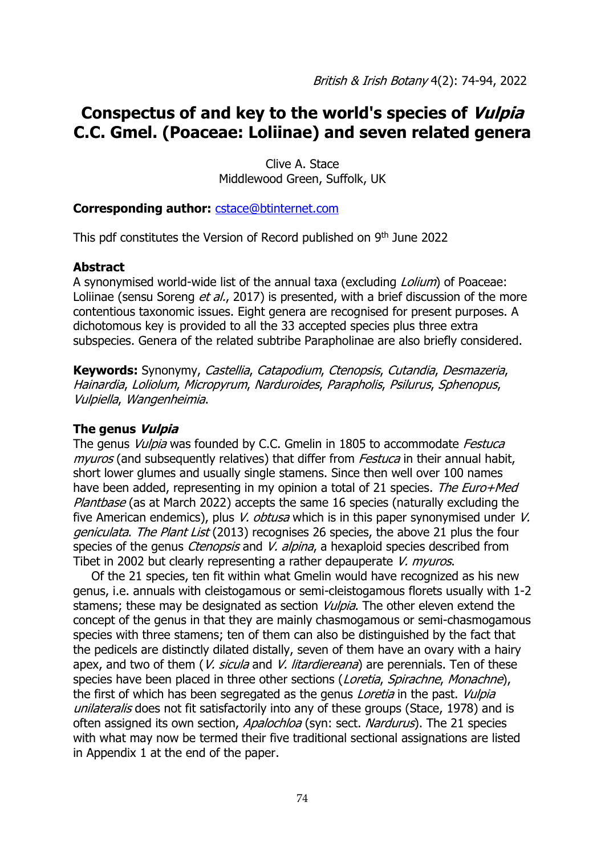# **Conspectus of and key to the world's species of Vulpia C.C. Gmel. (Poaceae: Loliinae) and seven related genera**

Clive A. Stace Middlewood Green, Suffolk, UK

# **Corresponding author:** [cstace@btinternet.com](mailto:cstace@btinternet.com)

This pdf constitutes the Version of Record published on 9<sup>th</sup> June 2022

# **Abstract**

A synonymised world-wide list of the annual taxa (excluding Lolium) of Poaceae: Loliinae (sensu Soreng *et al.*, 2017) is presented, with a brief discussion of the more contentious taxonomic issues. Eight genera are recognised for present purposes. A dichotomous key is provided to all the 33 accepted species plus three extra subspecies. Genera of the related subtribe Parapholinae are also briefly considered.

**Keywords:** Synonymy, Castellia, Catapodium, Ctenopsis, Cutandia, Desmazeria, Hainardia, Loliolum, Micropyrum, Narduroides, Parapholis, Psilurus, Sphenopus, Vulpiella, Wangenheimia.

### **The genus Vulpia**

The genus *Vulpia* was founded by C.C. Gmelin in 1805 to accommodate *Festuca* myuros (and subsequently relatives) that differ from *Festuca* in their annual habit, short lower glumes and usually single stamens. Since then well over 100 names have been added, representing in my opinion a total of 21 species. The Euro+Med Plantbase (as at March 2022) accepts the same 16 species (naturally excluding the five American endemics), plus *V. obtusa* which is in this paper synonymised under *V.* geniculata. The Plant List (2013) recognises 26 species, the above 21 plus the four species of the genus *Ctenopsis* and *V. alpina*, a hexaploid species described from Tibet in 2002 but clearly representing a rather depauperate V. *myuros*.

Of the 21 species, ten fit within what Gmelin would have recognized as his new genus, i.e. annuals with cleistogamous or semi-cleistogamous florets usually with 1-2 stamens; these may be designated as section *Vulpia*. The other eleven extend the concept of the genus in that they are mainly chasmogamous or semi-chasmogamous species with three stamens; ten of them can also be distinguished by the fact that the pedicels are distinctly dilated distally, seven of them have an ovary with a hairy apex, and two of them (*V. sicula* and *V. litardiereana*) are perennials. Ten of these species have been placed in three other sections (Loretia, Spirachne, Monachne), the first of which has been segregated as the genus *Loretia* in the past. *Vulpia* unilateralis does not fit satisfactorily into any of these groups (Stace, 1978) and is often assigned its own section, Apalochloa (syn: sect. Nardurus). The 21 species with what may now be termed their five traditional sectional assignations are listed in Appendix 1 at the end of the paper.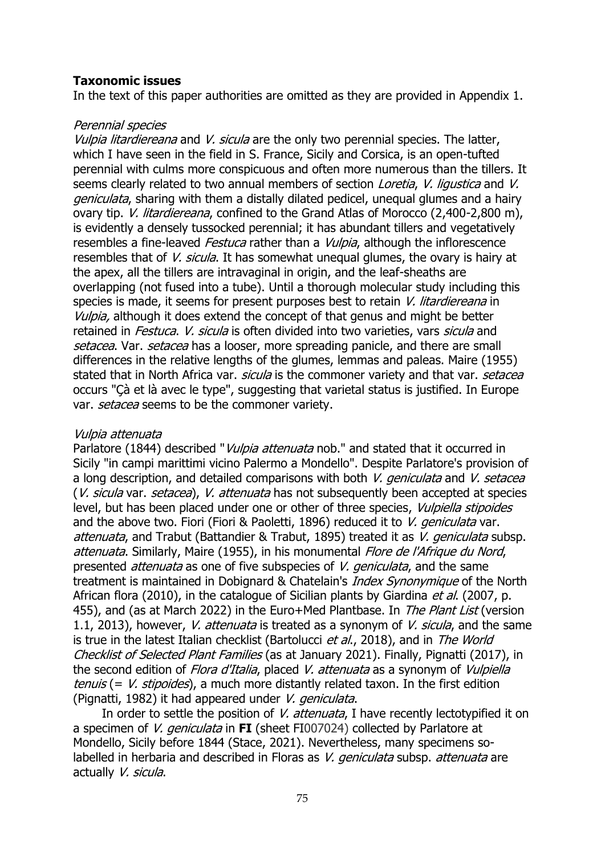# **Taxonomic issues**

In the text of this paper authorities are omitted as they are provided in Appendix 1.

# Perennial species

Vulpia litardiereana and V, sicula are the only two perennial species. The latter, which I have seen in the field in S. France, Sicily and Corsica, is an open-tufted perennial with culms more conspicuous and often more numerous than the tillers. It seems clearly related to two annual members of section *Loretia. V. ligustica* and V. geniculata, sharing with them a distally dilated pedicel, unequal glumes and a hairy ovary tip. *V. litardiereana*, confined to the Grand Atlas of Morocco (2,400-2,800 m), is evidently a densely tussocked perennial; it has abundant tillers and vegetatively resembles a fine-leaved Festuca rather than a Vulpia, although the inflorescence resembles that of *V. sicula*. It has somewhat unequal glumes, the ovary is hairy at the apex, all the tillers are intravaginal in origin, and the leaf-sheaths are overlapping (not fused into a tube). Until a thorough molecular study including this species is made, it seems for present purposes best to retain V. litardiereana in Vulpia, although it does extend the concept of that genus and might be better retained in *Festuca. V. sicula* is often divided into two varieties, vars *sicula* and setacea. Var. setacea has a looser, more spreading panicle, and there are small differences in the relative lengths of the glumes, lemmas and paleas. Maire (1955) stated that in North Africa var. *sicula* is the commoner variety and that var. *setacea* occurs "Çà et là avec le type", suggesting that varietal status is justified. In Europe var. setacea seems to be the commoner variety.

### Vulpia attenuata

Parlatore (1844) described "Vulpia attenuata nob." and stated that it occurred in Sicily "in campi marittimi vicino Palermo a Mondello". Despite Parlatore's provision of a long description, and detailed comparisons with both V. geniculata and V. setacea (V. sicula var. setacea), V. attenuata has not subsequently been accepted at species level, but has been placed under one or other of three species, *Vulpiella stipoides* and the above two. Fiori (Fiori & Paoletti, 1896) reduced it to V. geniculata var. attenuata, and Trabut (Battandier & Trabut, 1895) treated it as V. geniculata subsp. attenuata. Similarly, Maire (1955), in his monumental Flore de l'Afrique du Nord. presented *attenuata* as one of five subspecies of V. *geniculata*, and the same treatment is maintained in Dobignard & Chatelain's *Index Synonymique* of the North African flora (2010), in the catalogue of Sicilian plants by Giardina *et al.* (2007, p. 455), and (as at March 2022) in the Euro+Med Plantbase. In *The Plant List* (version 1.1, 2013), however, *V. attenuata* is treated as a synonym of *V. sicula*, and the same is true in the latest Italian checklist (Bartolucci et al., 2018), and in The World Checklist of Selected Plant Families (as at January 2021). Finally, Pignatti (2017), in the second edition of *Flora d'Italia*, placed V. attenuata as a synonym of Vulpiella tenuis (=  $V.$  stipoides), a much more distantly related taxon. In the first edition (Pignatti, 1982) it had appeared under V. geniculata.

In order to settle the position of V. attenuata, I have recently lectotypified it on a specimen of V. geniculata in **FI** (sheet FI007024) collected by Parlatore at Mondello, Sicily before 1844 (Stace, 2021). Nevertheless, many specimens solabelled in herbaria and described in Floras as V. *geniculata* subsp. *attenuata* are actually V. sicula.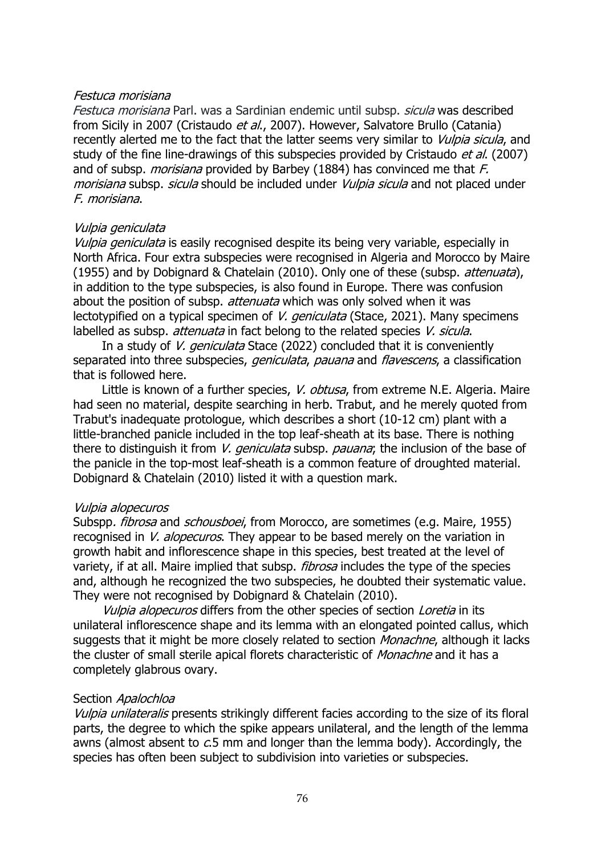### Festuca morisiana

Festuca morisiana Parl. was a Sardinian endemic until subsp. sicula was described from Sicily in 2007 (Cristaudo et al., 2007). However, Salvatore Brullo (Catania) recently alerted me to the fact that the latter seems very similar to *Vulpia sicula*, and study of the fine line-drawings of this subspecies provided by Cristaudo *et al.* (2007) and of subsp. *morisiana* provided by Barbey (1884) has convinced me that  $F$ . morisiana subsp. sicula should be included under *Vulpia sicula* and not placed under F. morisiana.

# Vulpia geniculata

Vulpia geniculata is easily recognised despite its being very variable, especially in North Africa. Four extra subspecies were recognised in Algeria and Morocco by Maire (1955) and by Dobignard & Chatelain (2010). Only one of these (subsp. attenuata), in addition to the type subspecies, is also found in Europe. There was confusion about the position of subsp. *attenuata* which was only solved when it was lectotypified on a typical specimen of *V. geniculata* (Stace, 2021). Many specimens labelled as subsp. *attenuata* in fact belong to the related species V. sicula.

In a study of V. *geniculata* Stace (2022) concluded that it is conveniently separated into three subspecies, *geniculata, pauana* and *flavescens*, a classification that is followed here.

Little is known of a further species, *V. obtusa*, from extreme N.E. Algeria. Maire had seen no material, despite searching in herb. Trabut, and he merely quoted from Trabut's inadequate protologue, which describes a short (10-12 cm) plant with a little-branched panicle included in the top leaf-sheath at its base. There is nothing there to distinguish it from *V. geniculata* subsp. *pauana*; the inclusion of the base of the panicle in the top-most leaf-sheath is a common feature of droughted material. Dobignard & Chatelain (2010) listed it with a question mark.

### Vulpia alopecuros

Subspp. *fibrosa* and *schousboei*, from Morocco, are sometimes (e.g. Maire, 1955) recognised in V. alopecuros. They appear to be based merely on the variation in growth habit and inflorescence shape in this species, best treated at the level of variety, if at all. Maire implied that subsp. *fibrosa* includes the type of the species and, although he recognized the two subspecies, he doubted their systematic value. They were not recognised by Dobignard & Chatelain (2010).

Vulpia alopecuros differs from the other species of section Loretia in its unilateral inflorescence shape and its lemma with an elongated pointed callus, which suggests that it might be more closely related to section *Monachne*, although it lacks the cluster of small sterile apical florets characteristic of *Monachne* and it has a completely glabrous ovary.

### Section Apalochloa

Vulpia unilateralis presents strikingly different facies according to the size of its floral parts, the degree to which the spike appears unilateral, and the length of the lemma awns (almost absent to  $c$ .5 mm and longer than the lemma body). Accordingly, the species has often been subject to subdivision into varieties or subspecies.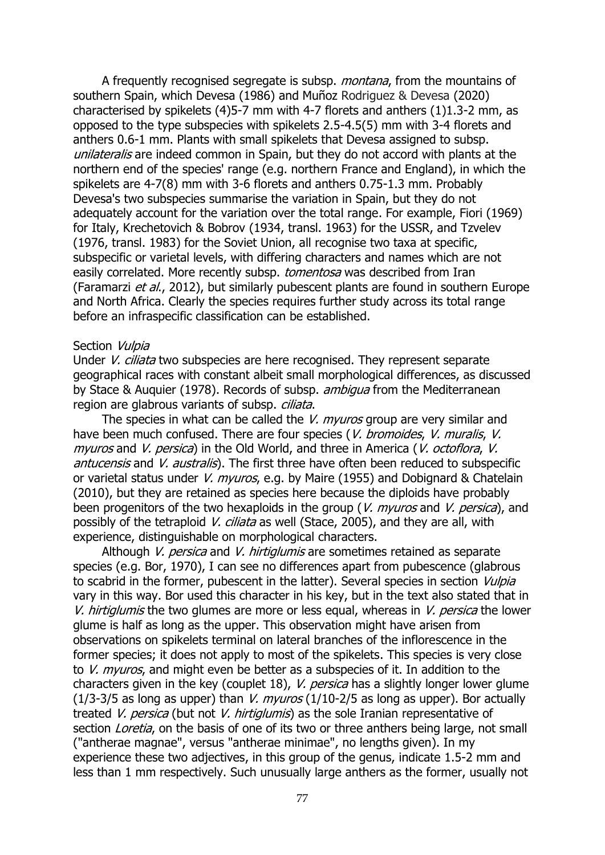A frequently recognised segregate is subsp. *montana*, from the mountains of southern Spain, which Devesa (1986) and Muñoz Rodriguez & Devesa (2020) characterised by spikelets (4)5-7 mm with 4-7 florets and anthers (1)1.3-2 mm, as opposed to the type subspecies with spikelets 2.5-4.5(5) mm with 3-4 florets and anthers 0.6-1 mm. Plants with small spikelets that Devesa assigned to subsp. unilateralis are indeed common in Spain, but they do not accord with plants at the northern end of the species' range (e.g. northern France and England), in which the spikelets are 4-7(8) mm with 3-6 florets and anthers 0.75-1.3 mm. Probably Devesa's two subspecies summarise the variation in Spain, but they do not adequately account for the variation over the total range. For example, Fiori (1969) for Italy, Krechetovich & Bobrov (1934, transl. 1963) for the USSR, and Tzvelev (1976, transl. 1983) for the Soviet Union, all recognise two taxa at specific, subspecific or varietal levels, with differing characters and names which are not easily correlated. More recently subsp. *tomentosa* was described from Iran (Faramarzi et al., 2012), but similarly pubescent plants are found in southern Europe and North Africa. Clearly the species requires further study across its total range before an infraspecific classification can be established.

#### Section Vulpia

Under *V. ciliata* two subspecies are here recognised. They represent separate geographical races with constant albeit small morphological differences, as discussed by Stace & Auguier (1978). Records of subsp. *ambigua* from the Mediterranean region are glabrous variants of subsp. *ciliata*.

The species in what can be called the *V. myuros* group are very similar and have been much confused. There are four species (V. bromoides, V. muralis, V. myuros and V. persica) in the Old World, and three in America (V. octoflora, V. antucensis and V. australis). The first three have often been reduced to subspecific or varietal status under V. *myuros*, e.g. by Maire (1955) and Dobignard & Chatelain (2010), but they are retained as species here because the diploids have probably been progenitors of the two hexaploids in the group (V, *myuros* and V, *persica*), and possibly of the tetraploid V. ciliata as well (Stace, 2005), and they are all, with experience, distinguishable on morphological characters.

Although V, persica and V, hirtiglumis are sometimes retained as separate species (e.g. Bor, 1970), I can see no differences apart from pubescence (glabrous to scabrid in the former, pubescent in the latter). Several species in section *Vulpia* vary in this way. Bor used this character in his key, but in the text also stated that in V. hirtiglumis the two glumes are more or less equal, whereas in V. persica the lower glume is half as long as the upper. This observation might have arisen from observations on spikelets terminal on lateral branches of the inflorescence in the former species; it does not apply to most of the spikelets. This species is very close to V. *myuros*, and might even be better as a subspecies of it. In addition to the characters given in the key (couplet 18), *V. persica* has a slightly longer lower glume (1/3-3/5 as long as upper) than *V. myuros* (1/10-2/5 as long as upper). Bor actually treated V. persica (but not V. hirtiglumis) as the sole Iranian representative of section *Loretia*, on the basis of one of its two or three anthers being large, not small ("antherae magnae", versus "antherae minimae", no lengths given). In my experience these two adjectives, in this group of the genus, indicate 1.5-2 mm and less than 1 mm respectively. Such unusually large anthers as the former, usually not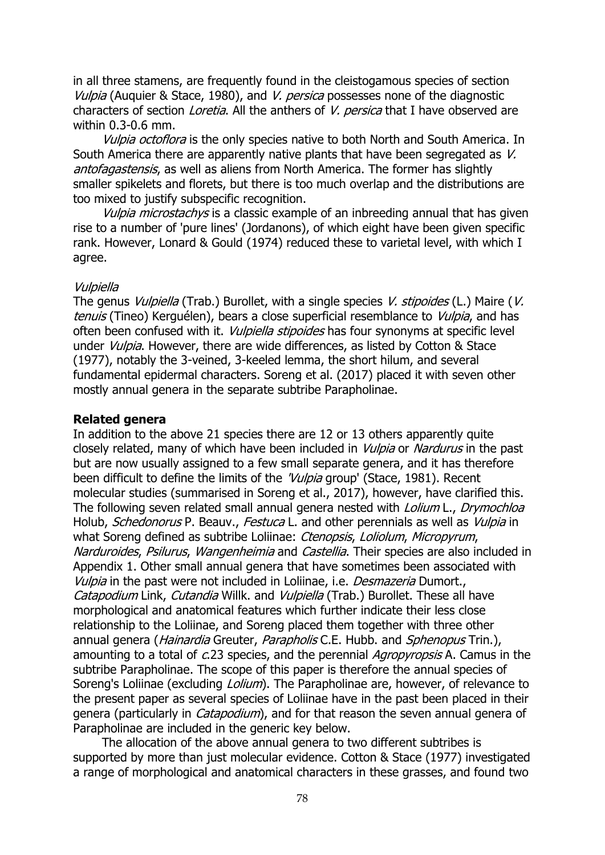in all three stamens, are frequently found in the cleistogamous species of section Vulpia (Auguier & Stace, 1980), and V. persica possesses none of the diagnostic characters of section *Loretia*. All the anthers of *V. persica* that I have observed are within 0.3-0.6 mm.

Vulpia octoflora is the only species native to both North and South America. In South America there are apparently native plants that have been segregated as V. antofagastensis, as well as aliens from North America. The former has slightly smaller spikelets and florets, but there is too much overlap and the distributions are too mixed to justify subspecific recognition.

Vulpia microstachys is a classic example of an inbreeding annual that has given rise to a number of 'pure lines' (Jordanons), of which eight have been given specific rank. However, Lonard & Gould (1974) reduced these to varietal level, with which I agree.

#### Vulpiella

The genus *Vulpiella* (Trab.) Burollet, with a single species *V. stipoides* (L.) Maire (V. tenuis (Tineo) Kerguélen), bears a close superficial resemblance to *Vulpia*, and has often been confused with it. *Vulpiella stipoides* has four synonyms at specific level under *Vulpia*. However, there are wide differences, as listed by Cotton & Stace (1977), notably the 3-veined, 3-keeled lemma, the short hilum, and several fundamental epidermal characters. Soreng et al. (2017) placed it with seven other mostly annual genera in the separate subtribe Parapholinae.

#### **Related genera**

In addition to the above 21 species there are 12 or 13 others apparently quite closely related, many of which have been included in *Vulpia* or Nardurus in the past but are now usually assigned to a few small separate genera, and it has therefore been difficult to define the limits of the 'Vulpia group' (Stace, 1981). Recent molecular studies (summarised in Soreng et al., 2017), however, have clarified this. The following seven related small annual genera nested with Lolium L., Drymochloa Holub, Schedonorus P. Beauv., Festuca L. and other perennials as well as *Vulpia* in what Soreng defined as subtribe Loliinae: Ctenopsis, Loliolum, Micropyrum, Narduroides, Psilurus, Wangenheimia and Castellia. Their species are also included in Appendix 1. Other small annual genera that have sometimes been associated with Vulpia in the past were not included in Loliinae, i.e. Desmazeria Dumort., Catapodium Link, Cutandia Willk. and Vulpiella (Trab.) Burollet. These all have morphological and anatomical features which further indicate their less close relationship to the Loliinae, and Soreng placed them together with three other annual genera (*Hainardia* Greuter, *Parapholis* C.E. Hubb. and *Sphenopus* Trin.), amounting to a total of c.23 species, and the perennial *Agropyropsis* A. Camus in the subtribe Parapholinae. The scope of this paper is therefore the annual species of Soreng's Loliinae (excluding *Lolium*). The Parapholinae are, however, of relevance to the present paper as several species of Loliinae have in the past been placed in their genera (particularly in *Catapodium*), and for that reason the seven annual genera of Parapholinae are included in the generic key below.

The allocation of the above annual genera to two different subtribes is supported by more than just molecular evidence. Cotton & Stace (1977) investigated a range of morphological and anatomical characters in these grasses, and found two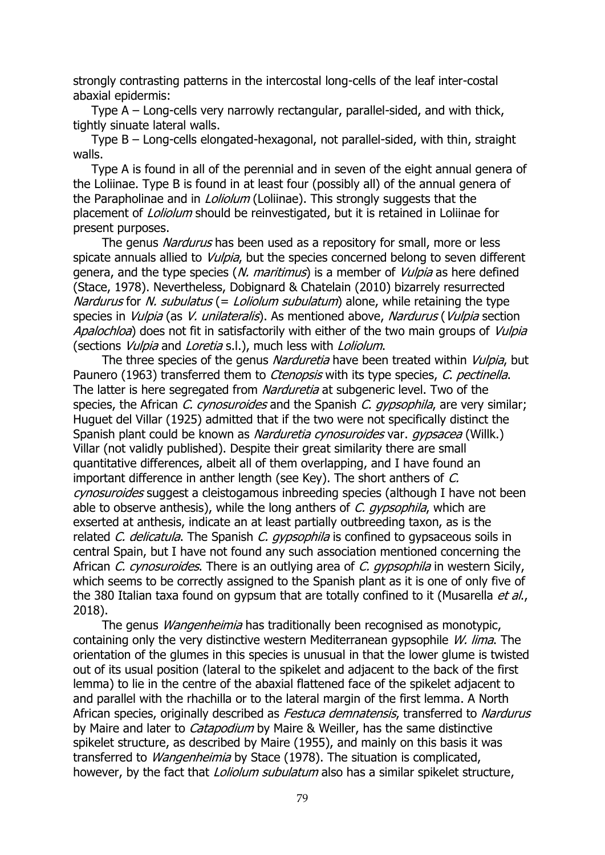strongly contrasting patterns in the intercostal long-cells of the leaf inter-costal abaxial epidermis:

Type A – Long-cells very narrowly rectangular, parallel-sided, and with thick, tightly sinuate lateral walls.

Type B – Long-cells elongated-hexagonal, not parallel-sided, with thin, straight walls.

Type A is found in all of the perennial and in seven of the eight annual genera of the Loliinae. Type B is found in at least four (possibly all) of the annual genera of the Parapholinae and in *Loliolum* (Loliinae). This strongly suggests that the placement of *Loliolum* should be reinvestigated, but it is retained in Loliinae for present purposes.

The genus *Nardurus* has been used as a repository for small, more or less spicate annuals allied to *Vulpia*, but the species concerned belong to seven different genera, and the type species (N. maritimus) is a member of *Vulpia* as here defined (Stace, 1978). Nevertheless, Dobignard & Chatelain (2010) bizarrely resurrected Nardurus for N. subulatus (= Loliolum subulatum) alone, while retaining the type species in *Vulpia* (as *V. unilateralis*). As mentioned above, *Nardurus* (*Vulpia* section Apalochloa) does not fit in satisfactorily with either of the two main groups of Vulpia (sections Vulpia and Loretia s.l.), much less with Loliolum.

The three species of the genus Narduretia have been treated within Vulpia, but Paunero (1963) transferred them to *Ctenopsis* with its type species, *C. pectinella*. The latter is here segregated from *Narduretia* at subgeneric level. Two of the species, the African C. cynosuroides and the Spanish C. gypsophila, are very similar; Huguet del Villar (1925) admitted that if the two were not specifically distinct the Spanish plant could be known as *Narduretia cynosuroides* var. *gypsacea* (Willk.) Villar (not validly published). Despite their great similarity there are small quantitative differences, albeit all of them overlapping, and I have found an important difference in anther length (see Key). The short anthers of C. cynosuroides suggest a cleistogamous inbreeding species (although I have not been able to observe anthesis), while the long anthers of  $C$ . gypsophila, which are exserted at anthesis, indicate an at least partially outbreeding taxon, as is the related C. delicatula. The Spanish C. gypsophila is confined to gypsaceous soils in central Spain, but I have not found any such association mentioned concerning the African C. cynosuroides. There is an outlying area of C. gypsophila in western Sicily, which seems to be correctly assigned to the Spanish plant as it is one of only five of the 380 Italian taxa found on gypsum that are totally confined to it (Musarella et al., 2018).

The genus *Wangenheimia* has traditionally been recognised as monotypic, containing only the very distinctive western Mediterranean gypsophile W. lima. The orientation of the glumes in this species is unusual in that the lower glume is twisted out of its usual position (lateral to the spikelet and adjacent to the back of the first lemma) to lie in the centre of the abaxial flattened face of the spikelet adjacent to and parallel with the rhachilla or to the lateral margin of the first lemma. A North African species, originally described as *Festuca demnatensis*, transferred to Nardurus by Maire and later to *Catapodium* by Maire & Weiller, has the same distinctive spikelet structure, as described by Maire (1955), and mainly on this basis it was transferred to *Wangenheimia* by Stace (1978). The situation is complicated, however, by the fact that *Loliolum subulatum* also has a similar spikelet structure,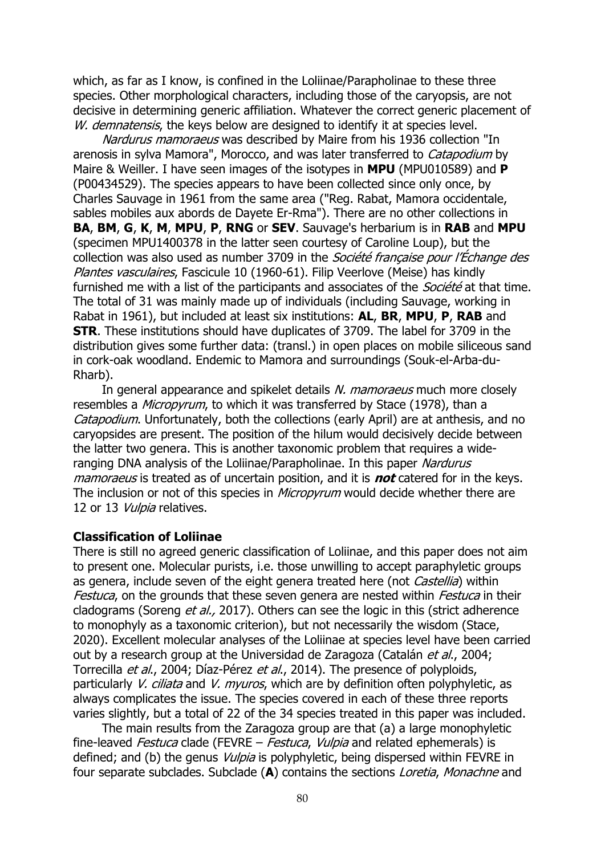which, as far as I know, is confined in the Loliinae/Parapholinae to these three species. Other morphological characters, including those of the caryopsis, are not decisive in determining generic affiliation. Whatever the correct generic placement of W. demnatensis, the keys below are designed to identify it at species level.

Nardurus mamoraeus was described by Maire from his 1936 collection "In arenosis in sylva Mamora", Morocco, and was later transferred to Catapodium by Maire & Weiller. I have seen images of the isotypes in **MPU** (MPU010589) and **P** (P00434529). The species appears to have been collected since only once, by Charles Sauvage in 1961 from the same area ("Reg. Rabat, Mamora occidentale, sables mobiles aux abords de Dayete Er-Rma"). There are no other collections in **BA**, **BM**, **G**, **K**, **M**, **MPU**, **P**, **RNG** or **SEV**. Sauvage's herbarium is in **RAB** and **MPU** (specimen MPU1400378 in the latter seen courtesy of Caroline Loup), but the collection was also used as number 3709 in the *Société française pour l'Échange des* Plantes vasculaires, Fascicule 10 (1960-61). Filip Veerlove (Meise) has kindly furnished me with a list of the participants and associates of the *Société* at that time. The total of 31 was mainly made up of individuals (including Sauvage, working in Rabat in 1961), but included at least six institutions: **AL**, **BR**, **MPU**, **P**, **RAB** and **STR**. These institutions should have duplicates of 3709. The label for 3709 in the distribution gives some further data: (transl.) in open places on mobile siliceous sand in cork-oak woodland. Endemic to Mamora and surroundings (Souk-el-Arba-du-Rharb).

In general appearance and spikelet details N. mamoraeus much more closely resembles a *Micropyrum*, to which it was transferred by Stace (1978), than a Catapodium. Unfortunately, both the collections (early April) are at anthesis, and no caryopsides are present. The position of the hilum would decisively decide between the latter two genera. This is another taxonomic problem that requires a wideranging DNA analysis of the Loliinae/Parapholinae. In this paper Nardurus mamoraeus is treated as of uncertain position, and it is **not** catered for in the keys. The inclusion or not of this species in *Micropyrum* would decide whether there are 12 or 13 Vulpia relatives.

### **Classification of Loliinae**

There is still no agreed generic classification of Loliinae, and this paper does not aim to present one. Molecular purists, i.e. those unwilling to accept paraphyletic groups as genera, include seven of the eight genera treated here (not *Castellia*) within Festuca, on the grounds that these seven genera are nested within Festuca in their cladograms (Soreng *et al.*, 2017). Others can see the logic in this (strict adherence to monophyly as a taxonomic criterion), but not necessarily the wisdom (Stace, 2020). Excellent molecular analyses of the Loliinae at species level have been carried out by a research group at the Universidad de Zaragoza (Catalán et al., 2004; Torrecilla et al., 2004; Díaz-Pérez et al., 2014). The presence of polyploids, particularly *V. ciliata* and *V. myuros*, which are by definition often polyphyletic, as always complicates the issue. The species covered in each of these three reports varies slightly, but a total of 22 of the 34 species treated in this paper was included.

The main results from the Zaragoza group are that (a) a large monophyletic fine-leaved Festuca clade (FEVRE – Festuca, Vulpia and related ephemerals) is defined; and (b) the genus *Vulpia* is polyphyletic, being dispersed within FEVRE in four separate subclades. Subclade (**A**) contains the sections Loretia, Monachne and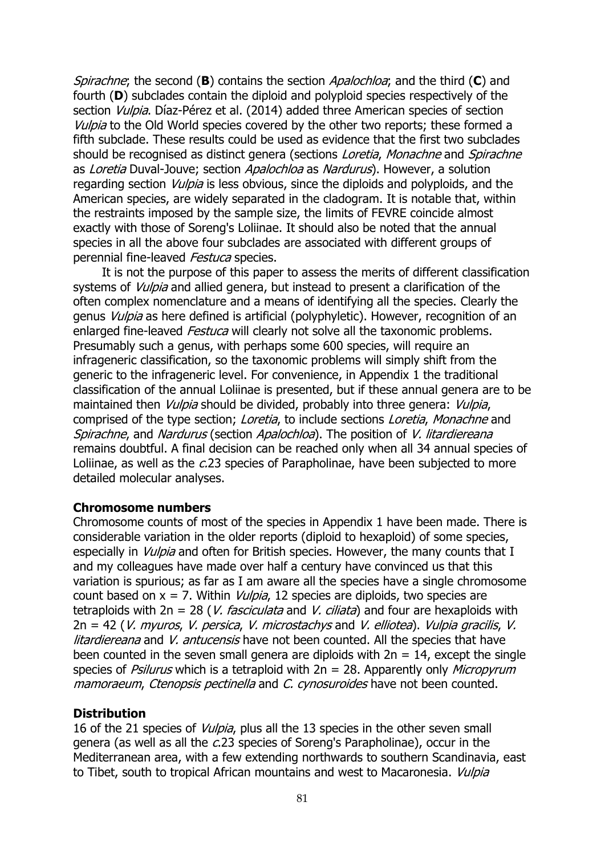Spirachne; the second (**B**) contains the section Apalochloa; and the third (**C**) and fourth (**D**) subclades contain the diploid and polyploid species respectively of the section *Vulpia*. Díaz-Pérez et al. (2014) added three American species of section Vulpia to the Old World species covered by the other two reports; these formed a fifth subclade. These results could be used as evidence that the first two subclades should be recognised as distinct genera (sections Loretia, Monachne and Spirachne as Loretia Duval-Jouve; section Apalochloa as Nardurus). However, a solution regarding section *Vulpia* is less obvious, since the diploids and polyploids, and the American species, are widely separated in the cladogram. It is notable that, within the restraints imposed by the sample size, the limits of FEVRE coincide almost exactly with those of Soreng's Loliinae. It should also be noted that the annual species in all the above four subclades are associated with different groups of perennial fine-leaved Festuca species.

It is not the purpose of this paper to assess the merits of different classification systems of *Vulpia* and allied genera, but instead to present a clarification of the often complex nomenclature and a means of identifying all the species. Clearly the genus Vulpia as here defined is artificial (polyphyletic). However, recognition of an enlarged fine-leaved *Festuca* will clearly not solve all the taxonomic problems. Presumably such a genus, with perhaps some 600 species, will require an infrageneric classification, so the taxonomic problems will simply shift from the generic to the infrageneric level. For convenience, in Appendix 1 the traditional classification of the annual Loliinae is presented, but if these annual genera are to be maintained then *Vulpia* should be divided, probably into three genera: *Vulpia*, comprised of the type section; Loretia, to include sections Loretia, Monachne and Spirachne, and Nardurus (section Apalochloa). The position of V. litardiereana remains doubtful. A final decision can be reached only when all 34 annual species of Loliinae, as well as the c.23 species of Parapholinae, have been subjected to more detailed molecular analyses.

### **Chromosome numbers**

Chromosome counts of most of the species in Appendix 1 have been made. There is considerable variation in the older reports (diploid to hexaploid) of some species, especially in *Vulpia* and often for British species. However, the many counts that I and my colleagues have made over half a century have convinced us that this variation is spurious; as far as I am aware all the species have a single chromosome count based on  $x = 7$ . Within *Vulpia*, 12 species are diploids, two species are tetraploids with  $2n = 28$  (*V. fasciculata* and *V. ciliata*) and four are hexaploids with 2n = 42 (V. myuros, V. persica, V. microstachys and V. elliotea). Vulpia gracilis, V. litardiereana and V. antucensis have not been counted. All the species that have been counted in the seven small genera are diploids with  $2n = 14$ , except the single species of Psilurus which is a tetraploid with  $2n = 28$ . Apparently only Micropyrum mamoraeum, Ctenopsis pectinella and C. cynosuroides have not been counted.

### **Distribution**

16 of the 21 species of *Vulpia*, plus all the 13 species in the other seven small genera (as well as all the c.23 species of Soreng's Parapholinae), occur in the Mediterranean area, with a few extending northwards to southern Scandinavia, east to Tibet, south to tropical African mountains and west to Macaronesia. Vulpia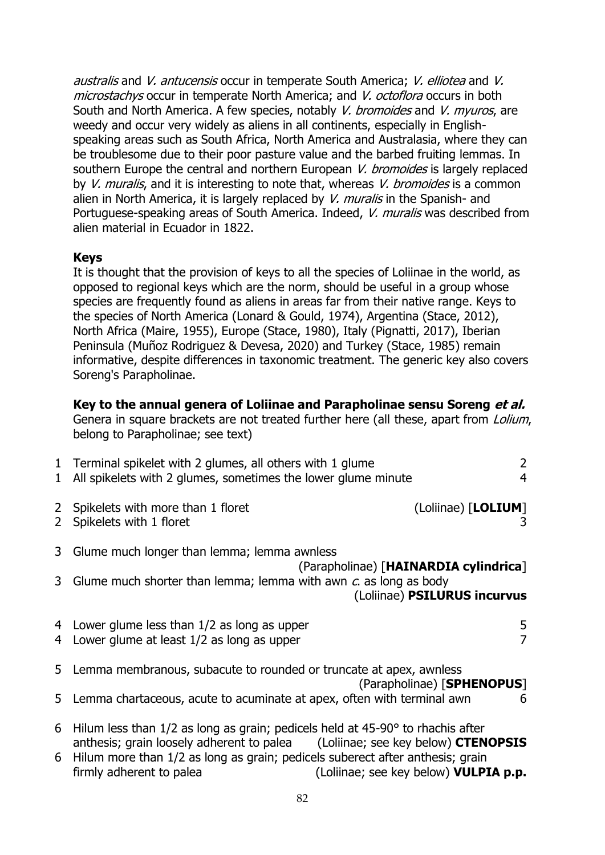australis and V. antucensis occur in temperate South America; V. elliotea and V. microstachys occur in temperate North America; and V. octoflora occurs in both South and North America. A few species, notably V. bromoides and V. myuros, are weedy and occur very widely as aliens in all continents, especially in Englishspeaking areas such as South Africa, North America and Australasia, where they can be troublesome due to their poor pasture value and the barbed fruiting lemmas. In southern Europe the central and northern European V. bromoides is largely replaced by *V. muralis*, and it is interesting to note that, whereas *V. bromoides* is a common alien in North America, it is largely replaced by  $V$ . muralis in the Spanish- and Portuguese-speaking areas of South America. Indeed, V. muralis was described from alien material in Ecuador in 1822.

### **Keys**

It is thought that the provision of keys to all the species of Loliinae in the world, as opposed to regional keys which are the norm, should be useful in a group whose species are frequently found as aliens in areas far from their native range. Keys to the species of North America (Lonard & Gould, 1974), Argentina (Stace, 2012), North Africa (Maire, 1955), Europe (Stace, 1980), Italy (Pignatti, 2017), Iberian Peninsula (Muñoz Rodriguez & Devesa, 2020) and Turkey (Stace, 1985) remain informative, despite differences in taxonomic treatment. The generic key also covers Soreng's Parapholinae.

# **Key to the annual genera of Loliinae and Parapholinae sensu Soreng et al.**

Genera in square brackets are not treated further here (all these, apart from Lolium, belong to Parapholinae; see text)

| $\mathbf{1}$ | 1 Terminal spikelet with 2 glumes, all others with 1 glume<br>All spikelets with 2 glumes, sometimes the lower glume minute                                                                                                                                                           | $\overline{2}$                        |
|--------------|---------------------------------------------------------------------------------------------------------------------------------------------------------------------------------------------------------------------------------------------------------------------------------------|---------------------------------------|
|              | 2 Spikelets with more than 1 floret<br>2 Spikelets with 1 floret                                                                                                                                                                                                                      | (Loliinae) [LOLIUM]                   |
|              | 3 Glume much longer than lemma; lemma awnless                                                                                                                                                                                                                                         | (Parapholinae) [HAINARDIA cylindrica] |
|              | 3 Glume much shorter than lemma; lemma with awn $c$ as long as body                                                                                                                                                                                                                   | (Loliinae) PSILURUS incurvus          |
|              | 4 Lower glume less than 1/2 as long as upper<br>4 Lower glume at least 1/2 as long as upper                                                                                                                                                                                           | $\frac{5}{7}$                         |
|              | 5 Lemma membranous, subacute to rounded or truncate at apex, awnless                                                                                                                                                                                                                  | (Parapholinae) [SPHENOPUS]            |
|              | 5 Lemma chartaceous, acute to acuminate at apex, often with terminal awn                                                                                                                                                                                                              | 6                                     |
| 6            | Hilum less than 1/2 as long as grain; pedicels held at 45-90° to rhachis after<br>anthesis; grain loosely adherent to palea (Loliinae; see key below) <b>CTENOPSIS</b><br>6 Hilum more than 1/2 as long as grain; pedicels suberect after anthesis; grain<br>firmly adherent to palea | (Loliinae; see key below) VULPIA p.p. |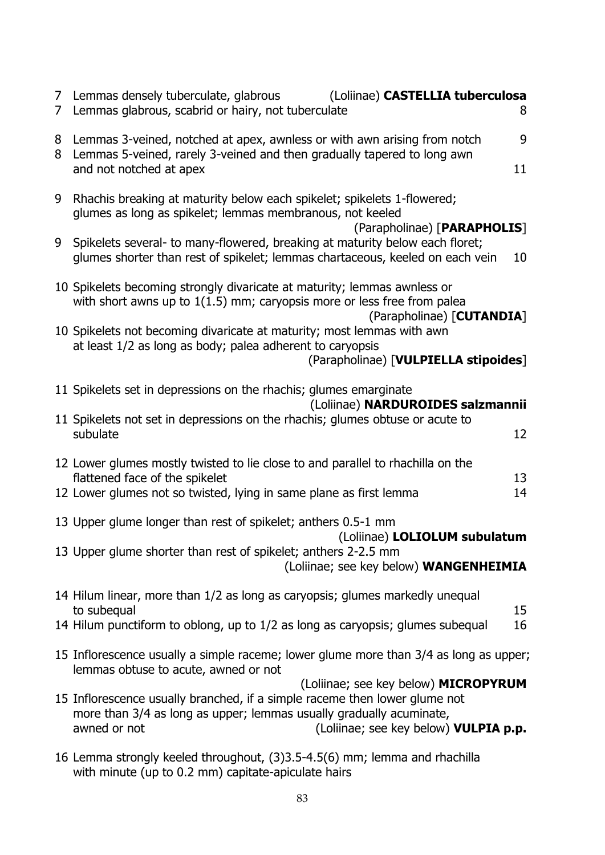| $7^{\circ}$<br>7 | Lemmas densely tuberculate, glabrous<br>(Loliinae) CASTELLIA tuberculosa<br>Lemmas glabrous, scabrid or hairy, not tuberculate<br>8                                                                                                                |
|------------------|----------------------------------------------------------------------------------------------------------------------------------------------------------------------------------------------------------------------------------------------------|
| 8<br>8           | Lemmas 3-veined, notched at apex, awnless or with awn arising from notch<br>9<br>Lemmas 5-veined, rarely 3-veined and then gradually tapered to long awn<br>and not notched at apex<br>11                                                          |
| 9                | Rhachis breaking at maturity below each spikelet; spikelets 1-flowered;<br>glumes as long as spikelet; lemmas membranous, not keeled<br>(Parapholinae) [PARAPHOLIS]                                                                                |
| 9                | Spikelets several- to many-flowered, breaking at maturity below each floret;<br>glumes shorter than rest of spikelet; lemmas chartaceous, keeled on each vein<br>10                                                                                |
|                  | 10 Spikelets becoming strongly divaricate at maturity; lemmas awnless or<br>with short awns up to $1(1.5)$ mm; caryopsis more or less free from palea<br>(Parapholinae) [CUTANDIA]                                                                 |
|                  | 10 Spikelets not becoming divaricate at maturity; most lemmas with awn<br>at least 1/2 as long as body; palea adherent to caryopsis<br>(Parapholinae) [VULPIELLA stipoides]                                                                        |
|                  | 11 Spikelets set in depressions on the rhachis; glumes emarginate                                                                                                                                                                                  |
|                  | (Loliinae) NARDUROIDES salzmannii<br>11 Spikelets not set in depressions on the rhachis; glumes obtuse or acute to<br>subulate<br>12                                                                                                               |
|                  | 12 Lower glumes mostly twisted to lie close to and parallel to rhachilla on the<br>flattened face of the spikelet<br>13<br>12 Lower glumes not so twisted, lying in same plane as first lemma<br>14                                                |
|                  | 13 Upper glume longer than rest of spikelet; anthers 0.5-1 mm                                                                                                                                                                                      |
|                  | (Loliinae) LOLIOLUM subulatum<br>13 Upper glume shorter than rest of spikelet; anthers 2-2.5 mm<br>(Loliinae; see key below) WANGENHEIMIA                                                                                                          |
|                  | 14 Hilum linear, more than 1/2 as long as caryopsis; glumes markedly unequal<br>to subequal<br>15                                                                                                                                                  |
|                  | 14 Hilum punctiform to oblong, up to 1/2 as long as caryopsis; glumes subequal<br>16                                                                                                                                                               |
|                  | 15 Inflorescence usually a simple raceme; lower glume more than 3/4 as long as upper;<br>lemmas obtuse to acute, awned or not                                                                                                                      |
|                  | (Loliinae; see key below) MICROPYRUM<br>15 Inflorescence usually branched, if a simple raceme then lower glume not<br>more than 3/4 as long as upper; lemmas usually gradually acuminate,<br>awned or not<br>(Loliinae; see key below) VULPIA p.p. |
|                  | 16 Lemma strongly keeled throughout, (3)3.5-4.5(6) mm; lemma and rhachilla<br>with minute (up to 0.2 mm) capitate-apiculate hairs                                                                                                                  |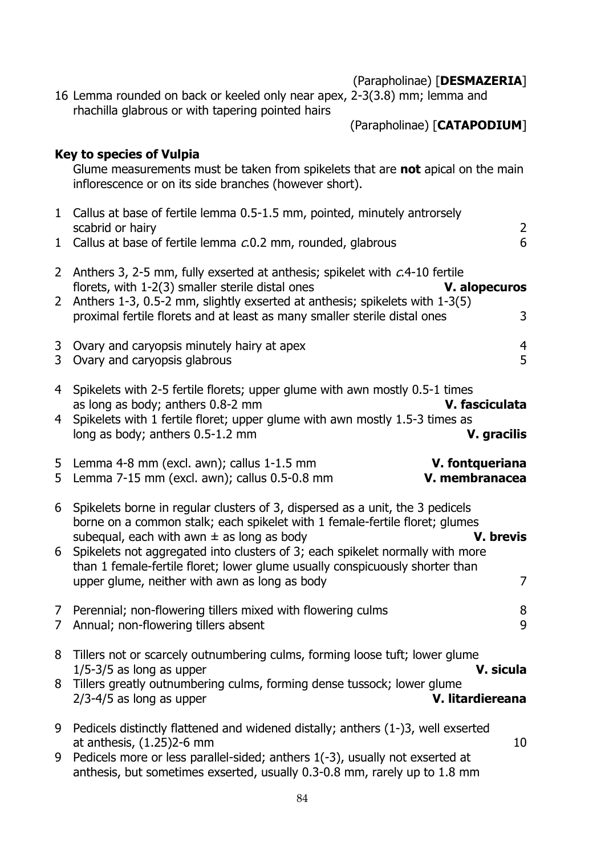| (Parapholinae) [DESMAZERIA] |  |  |
|-----------------------------|--|--|
|-----------------------------|--|--|

16 Lemma rounded on back or keeled only near apex, 2-3(3.8) mm; lemma and rhachilla glabrous or with tapering pointed hairs

(Parapholinae) [**CATAPODIUM**]

# **Key to species of Vulpia**

Glume measurements must be taken from spikelets that are **not** apical on the main inflorescence or on its side branches (however short).

| 1                                | 1 Callus at base of fertile lemma 0.5-1.5 mm, pointed, minutely antrorsely<br>scabrid or hairy<br>Callus at base of fertile lemma c.0.2 mm, rounded, glabrous                                                                                                                                                                                                                                                                                | $\overline{2}$<br>6 |
|----------------------------------|----------------------------------------------------------------------------------------------------------------------------------------------------------------------------------------------------------------------------------------------------------------------------------------------------------------------------------------------------------------------------------------------------------------------------------------------|---------------------|
| $\mathbf{2}$                     | 2 Anthers 3, 2-5 mm, fully exserted at anthesis; spikelet with c.4-10 fertile<br>florets, with 1-2(3) smaller sterile distal ones<br>V. alopecuros<br>Anthers 1-3, 0.5-2 mm, slightly exserted at anthesis; spikelets with 1-3(5)<br>proximal fertile florets and at least as many smaller sterile distal ones                                                                                                                               | 3                   |
| 3 <sup>1</sup>                   | 3 Ovary and caryopsis minutely hairy at apex<br>Ovary and caryopsis glabrous                                                                                                                                                                                                                                                                                                                                                                 | $\overline{4}$<br>5 |
| 4<br>4                           | Spikelets with 2-5 fertile florets; upper glume with awn mostly 0.5-1 times<br>as long as body; anthers 0.8-2 mm<br>V. fasciculata<br>Spikelets with 1 fertile floret; upper glume with awn mostly 1.5-3 times as<br>long as body; anthers 0.5-1.2 mm<br><b>V.</b> gracilis                                                                                                                                                                  |                     |
| 5                                | 5 Lemma 4-8 mm (excl. awn); callus 1-1.5 mm<br>V. fontqueriana<br>Lemma 7-15 mm (excl. awn); callus 0.5-0.8 mm<br>V. membranacea                                                                                                                                                                                                                                                                                                             |                     |
| 6<br>6                           | Spikelets borne in regular clusters of 3, dispersed as a unit, the 3 pedicels<br>borne on a common stalk; each spikelet with 1 female-fertile floret; glumes<br>V. brevis<br>subequal, each with awn $\pm$ as long as body<br>Spikelets not aggregated into clusters of 3; each spikelet normally with more<br>than 1 female-fertile floret; lower glume usually conspicuously shorter than<br>upper glume, neither with awn as long as body | $\overline{7}$      |
| 7 <sup>7</sup><br>$\overline{7}$ | Perennial; non-flowering tillers mixed with flowering culms<br>Annual; non-flowering tillers absent                                                                                                                                                                                                                                                                                                                                          | 8<br>9              |
| 8                                | Tillers not or scarcely outnumbering culms, forming loose tuft; lower glume<br>$1/5 - 3/5$ as long as upper<br>V. sicula<br>8 Tillers greatly outnumbering culms, forming dense tussock; lower glume<br>$2/3 - 4/5$ as long as upper<br>V. litardiereana                                                                                                                                                                                     |                     |
| 9<br>9                           | Pedicels distinctly flattened and widened distally; anthers (1-)3, well exserted<br>at anthesis, $(1.25)$ 2-6 mm<br>Pedicels more or less parallel-sided; anthers 1(-3), usually not exserted at<br>anthesis, but sometimes exserted, usually 0.3-0.8 mm, rarely up to 1.8 mm                                                                                                                                                                | 10                  |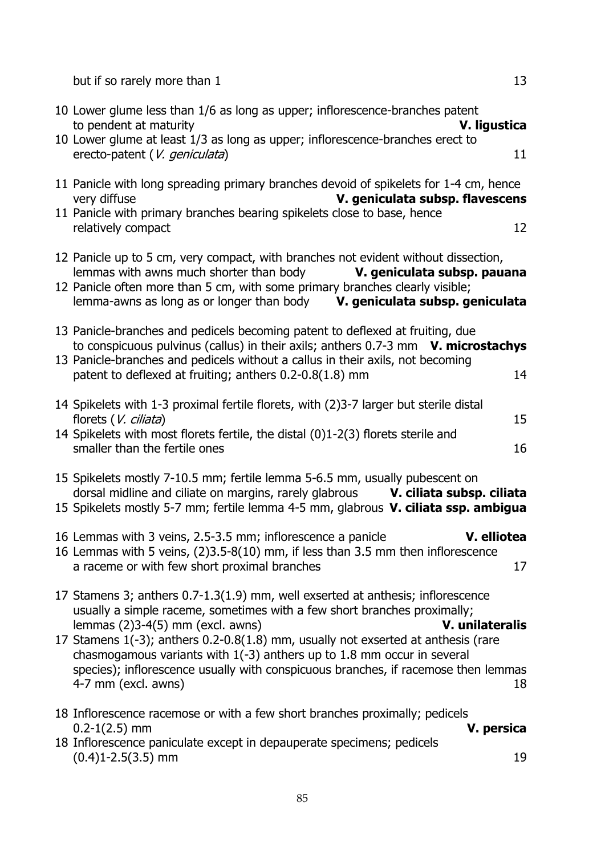but if so rarely more than 1 13

|                                             | 10 Lower glume less than 1/6 as long as upper; inflorescence-branches patent<br>to pendent at maturity<br>10 Lower glume at least 1/3 as long as upper; inflorescence-branches erect to<br>erecto-patent (V. geniculata)                                                                                                                                                                                                                                 |                                 | V. ligustica<br>11    |
|---------------------------------------------|----------------------------------------------------------------------------------------------------------------------------------------------------------------------------------------------------------------------------------------------------------------------------------------------------------------------------------------------------------------------------------------------------------------------------------------------------------|---------------------------------|-----------------------|
| very diffuse<br>relatively compact          | 11 Panicle with long spreading primary branches devoid of spikelets for 1-4 cm, hence<br>11 Panicle with primary branches bearing spikelets close to base, hence                                                                                                                                                                                                                                                                                         | V. geniculata subsp. flavescens | 12                    |
|                                             | 12 Panicle up to 5 cm, very compact, with branches not evident without dissection,<br>lemmas with awns much shorter than body <b>V. geniculata subsp. pauana</b><br>12 Panicle often more than 5 cm, with some primary branches clearly visible;<br>lemma-awns as long as or longer than body V. geniculata subsp. geniculata                                                                                                                            |                                 |                       |
|                                             | 13 Panicle-branches and pedicels becoming patent to deflexed at fruiting, due<br>to conspicuous pulvinus (callus) in their axils; anthers $0.7-3$ mm $V$ . microstachys<br>13 Panicle-branches and pedicels without a callus in their axils, not becoming<br>patent to deflexed at fruiting; anthers 0.2-0.8(1.8) mm                                                                                                                                     |                                 | 14                    |
| florets (V. ciliata)                        | 14 Spikelets with 1-3 proximal fertile florets, with (2)3-7 larger but sterile distal<br>14 Spikelets with most florets fertile, the distal (0)1-2(3) florets sterile and<br>smaller than the fertile ones                                                                                                                                                                                                                                               |                                 | 15<br>16              |
|                                             | 15 Spikelets mostly 7-10.5 mm; fertile lemma 5-6.5 mm, usually pubescent on<br>dorsal midline and ciliate on margins, rarely glabrous V. ciliata subsp. ciliata<br>15 Spikelets mostly 5-7 mm; fertile lemma 4-5 mm, glabrous V. ciliata ssp. ambigua                                                                                                                                                                                                    |                                 |                       |
|                                             | 16 Lemmas with 3 veins, 2.5-3.5 mm; inflorescence a panicle<br>16 Lemmas with 5 veins, (2)3.5-8(10) mm, if less than 3.5 mm then inflorescence<br>a raceme or with few short proximal branches                                                                                                                                                                                                                                                           |                                 | V. elliotea<br>17     |
| 4-7 mm (excl. awns)                         | 17 Stamens 3; anthers 0.7-1.3(1.9) mm, well exserted at anthesis; inflorescence<br>usually a simple raceme, sometimes with a few short branches proximally;<br>lemmas $(2)3-4(5)$ mm (excl. awns)<br>17 Stamens 1(-3); anthers 0.2-0.8(1.8) mm, usually not exserted at anthesis (rare<br>chasmogamous variants with $1(-3)$ anthers up to 1.8 mm occur in several<br>species); inflorescence usually with conspicuous branches, if racemose then lemmas |                                 | V. unilateralis<br>18 |
| $0.2 - 1(2.5)$ mm<br>$(0.4)1 - 2.5(3.5)$ mm | 18 Inflorescence racemose or with a few short branches proximally; pedicels<br>18 Inflorescence paniculate except in depauperate specimens; pedicels                                                                                                                                                                                                                                                                                                     |                                 | V. persica<br>19      |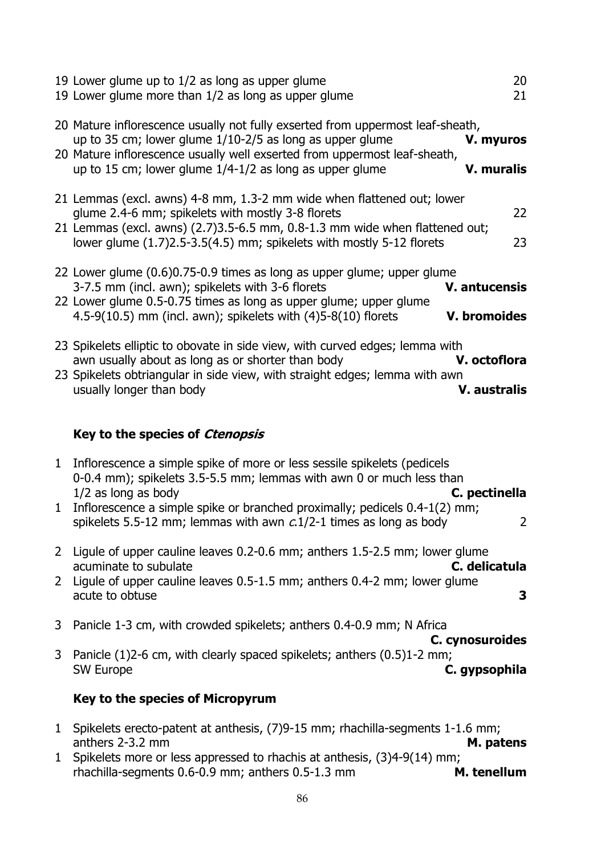|                              | 19 Lower glume up to 1/2 as long as upper glume<br>19 Lower glume more than 1/2 as long as upper glume                                                                                                                                                                                                                          | 20<br>21                         |
|------------------------------|---------------------------------------------------------------------------------------------------------------------------------------------------------------------------------------------------------------------------------------------------------------------------------------------------------------------------------|----------------------------------|
|                              | 20 Mature inflorescence usually not fully exserted from uppermost leaf-sheath,<br>up to 35 cm; lower glume 1/10-2/5 as long as upper glume<br>20 Mature inflorescence usually well exserted from uppermost leaf-sheath,<br>up to 15 cm; lower glume 1/4-1/2 as long as upper glume                                              | V. myuros<br><b>V. muralis</b>   |
|                              | 21 Lemmas (excl. awns) 4-8 mm, 1.3-2 mm wide when flattened out; lower<br>glume 2.4-6 mm; spikelets with mostly 3-8 florets<br>21 Lemmas (excl. awns) (2.7)3.5-6.5 mm, 0.8-1.3 mm wide when flattened out;<br>lower glume (1.7)2.5-3.5(4.5) mm; spikelets with mostly 5-12 florets                                              | 22<br>23                         |
|                              | 22 Lower glume (0.6)0.75-0.9 times as long as upper glume; upper glume<br>3-7.5 mm (incl. awn); spikelets with 3-6 florets<br>22 Lower glume 0.5-0.75 times as long as upper glume; upper glume<br>4.5-9(10.5) mm (incl. awn); spikelets with $(4)5-8(10)$ florets                                                              | V. antucensis<br>V. bromoides    |
|                              | 23 Spikelets elliptic to obovate in side view, with curved edges; lemma with<br>awn usually about as long as or shorter than body<br>23 Spikelets obtriangular in side view, with straight edges; lemma with awn<br>usually longer than body                                                                                    | V. octoflora                     |
|                              |                                                                                                                                                                                                                                                                                                                                 | V. australis                     |
|                              | Key to the species of Ctenopsis                                                                                                                                                                                                                                                                                                 |                                  |
| 1<br>1                       | Inflorescence a simple spike of more or less sessile spikelets (pedicels<br>0-0.4 mm); spikelets 3.5-5.5 mm; lemmas with awn 0 or much less than<br>$1/2$ as long as body<br>Inflorescence a simple spike or branched proximally; pedicels 0.4-1(2) mm;<br>spikelets 5.5-12 mm; lemmas with awn $c$ 1/2-1 times as long as body | C. pectinella<br>$\overline{2}$  |
| $\mathbf{2}$<br>$\mathbf{2}$ | Ligule of upper cauline leaves 0.2-0.6 mm; anthers 1.5-2.5 mm; lower glume<br>acuminate to subulate<br>Ligule of upper cauline leaves 0.5-1.5 mm; anthers 0.4-2 mm; lower glume<br>acute to obtuse                                                                                                                              | C. delicatula<br>3               |
| 3                            | Panicle 1-3 cm, with crowded spikelets; anthers 0.4-0.9 mm; N Africa                                                                                                                                                                                                                                                            |                                  |
| 3                            | Panicle (1)2-6 cm, with clearly spaced spikelets; anthers (0.5)1-2 mm;<br><b>SW Europe</b>                                                                                                                                                                                                                                      | C. cynosuroides<br>C. gypsophila |
|                              | Key to the species of Micropyrum                                                                                                                                                                                                                                                                                                |                                  |

- 1 Spikelets erecto-patent at anthesis, (7)9-15 mm; rhachilla-segments 1-1.6 mm;<br>anthers 2-3.2 mm anthers 2-3.2 mm **M. patens**
- 1 Spikelets more or less appressed to rhachis at anthesis, (3)4-9(14) mm; rhachilla-segments 0.6-0.9 mm; anthers 0.5-1.3 mm **M. tenellum**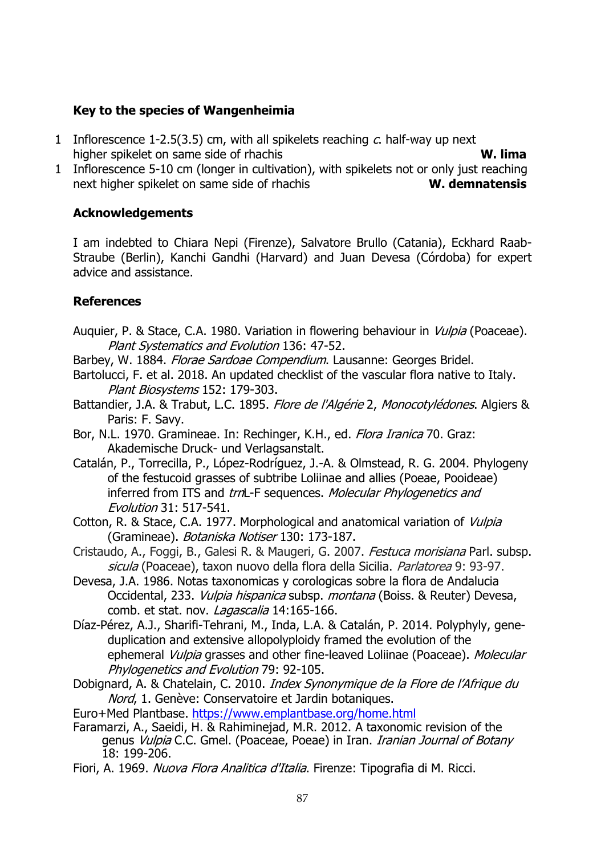# **Key to the species of Wangenheimia**

- 1 Inflorescence 1-2.5(3.5) cm, with all spikelets reaching  $c$ , half-way up next higher spikelet on same side of rhachis **W. lima**
- 1 Inflorescence 5-10 cm (longer in cultivation), with spikelets not or only just reaching next higher spikelet on same side of rhachis **W. demnatensis**

# **Acknowledgements**

I am indebted to Chiara Nepi (Firenze), Salvatore Brullo (Catania), Eckhard Raab-Straube (Berlin), Kanchi Gandhi (Harvard) and Juan Devesa (Córdoba) for expert advice and assistance.

# **References**

- Auquier, P. & Stace, C.A. 1980. Variation in flowering behaviour in *Vulpia* (Poaceae). Plant Systematics and Evolution 136: 47-52.
- Barbey, W. 1884. Florae Sardoae Compendium. Lausanne: Georges Bridel.
- Bartolucci, F. et al. 2018. An updated checklist of the vascular flora native to Italy. Plant Biosystems 152: 179-303.
- Battandier, J.A. & Trabut, L.C. 1895. Flore de l'Algérie 2, Monocotylédones. Algiers & Paris: F. Savy.
- Bor, N.L. 1970. Gramineae. In: Rechinger, K.H., ed. Flora Iranica 70. Graz: Akademische Druck- und Verlagsanstalt.
- Catalán, P., Torrecilla, P., López-Rodríguez, J.-A. & Olmstead, R. G. 2004. Phylogeny of the festucoid grasses of subtribe Loliinae and allies (Poeae, Pooideae) inferred from ITS and trnL-F sequences. Molecular Phylogenetics and Evolution 31: 517-541.
- Cotton, R. & Stace, C.A. 1977. Morphological and anatomical variation of Vulpia (Gramineae). Botaniska Notiser 130: 173-187.
- [Cristaudo, A., Foggi, B., Galesi R. & Maugeri, G. 2007.](https://www.ipni.org/n/77087188-1) *Festuca morisiana* Parl. subsp. sicula [\(Poaceae\), taxon nuovo della flora della Sicilia.](https://www.ipni.org/n/77087188-1) Parlatorea 9: 93-97.
- Devesa, J.A. 1986. Notas taxonomicas y corologicas sobre la flora de Andalucia Occidental, 233. Vulpia hispanica subsp. montana (Boiss. & Reuter) Devesa, comb. et stat. nov. Lagascalia 14:165-166.
- Díaz-Pérez, A.J., Sharifi-Tehrani, M., Inda, L.A. & Catalán, P. 2014. Polyphyly, geneduplication and extensive allopolyploidy framed the evolution of the ephemeral *Vulpia* grasses and other fine-leaved Loliinae (Poaceae). Molecular Phylogenetics and Evolution 79: 92-105.
- Dobignard, A. & Chatelain, C. 2010. Index Synonymique de la Flore de l'Afrique du Nord, 1. Genève: Conservatoire et Jardin botaniques.
- Euro+Med Plantbase.<https://www.emplantbase.org/home.html>
- Faramarzi, A., Saeidi, H. & Rahiminejad, M.R. 2012. A taxonomic revision of the genus Vulpia C.C. Gmel. (Poaceae, Poeae) in Iran. Iranian Journal of Botany 18: 199-206.
- Fiori, A. 1969. Nuova Flora Analitica d'Italia. Firenze: Tipografia di M. Ricci.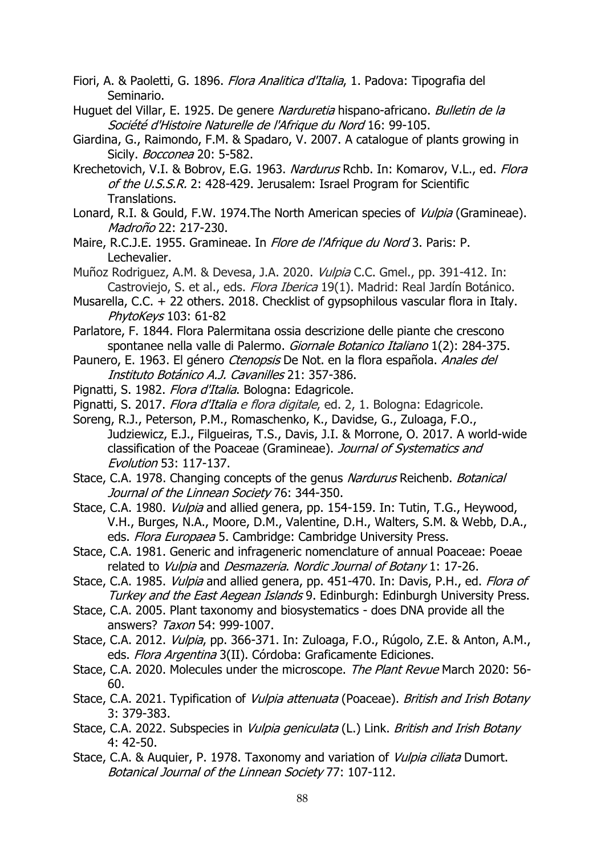- Fiori, A. & Paoletti, G. 1896. *Flora Analitica d'Italia*, 1. Padova: Tipografia del Seminario.
- Huguet del Villar, E. 1925. De genere Narduretia hispano-africano. Bulletin de la Société d'Histoire Naturelle de l'Afrique du Nord 16: 99-105.
- Giardina, G., Raimondo, F.M. & Spadaro, V. 2007. A catalogue of plants growing in Sicily. *Bocconea* 20: 5-582.
- Krechetovich, V.I. & Bobrov, E.G. 1963. Nardurus Rchb. In: Komarov, V.L., ed. Flora of the U.S.S.R. 2: 428-429. Jerusalem: Israel Program for Scientific Translations.
- Lonard, R.I. & Gould, F.W. 1974. The North American species of *Vulpia* (Gramineae). Madroño 22: 217-230.
- Maire, R.C.J.E. 1955. Gramineae. In *Flore de l'Afrique du Nord* 3. Paris: P. Lechevalier.
- Muñoz Rodriguez, A.M. & Devesa, J.A. 2020. Vulpia C.C. Gmel., pp. 391-412. In: Castroviejo, S. et al., eds. Flora Iberica 19(1). Madrid: Real Jardín Botánico.
- Musarella, C.C. + 22 others. 2018. Checklist of gypsophilous vascular flora in Italy. PhytoKeys 103: 61-82
- Parlatore, F. 1844. Flora Palermitana ossia descrizione delle piante che crescono spontanee nella valle di Palermo. Giornale Botanico Italiano 1(2): 284-375.
- Paunero, E. 1963. El género Ctenopsis De Not. en la flora española. Anales del [Instituto Botánico A.J. Cavanilles](https://www.ipni.org/p/3783-2) 21: 357-386.
- Pignatti, S. 1982. Flora d'Italia. Bologna: Edagricole.
- Pignatti, S. 2017. Flora d'Italia e flora digitale, ed. 2, 1. Bologna: Edagricole.
- Soreng, R.J., Peterson, P.M., Romaschenko, K., Davidse, G., Zuloaga, F.O., Judziewicz, E.J., Filgueiras, T.S., Davis, J.I. & Morrone, O. 2017. A world-wide classification of the Poaceae (Gramineae). Journal of Systematics and Evolution 53: 117-137.
- Stace, C.A. 1978. Changing concepts of the genus Nardurus Reichenb. Botanical Journal of the Linnean Society 76: 344-350.
- Stace, C.A. 1980. *Vulpia* and allied genera, pp. 154-159. In: Tutin, T.G., Heywood, V.H., Burges, N.A., Moore, D.M., Valentine, D.H., Walters, S.M. & Webb, D.A., eds. Flora Europaea 5. Cambridge: Cambridge University Press.
- Stace, C.A. 1981. Generic and infrageneric nomenclature of annual Poaceae: Poeae related to Vulpia and Desmazeria. Nordic Journal of Botany 1: 17-26.
- Stace, C.A. 1985. *Vulpia* and allied genera, pp. 451-470. In: Davis, P.H., ed. *Flora of* Turkey and the East Aegean Islands 9. Edinburgh: Edinburgh University Press.
- Stace, C.A. 2005. Plant taxonomy and biosystematics does DNA provide all the answers? Taxon 54: 999-1007.
- Stace, C.A. 2012. Vulpia, pp. 366-371. In: Zuloaga, F.O., Rúgolo, Z.E. & Anton, A.M., eds. Flora Argentina 3(II). Córdoba: Graficamente Ediciones.
- Stace, C.A. 2020. Molecules under the microscope. The Plant Revue March 2020: 56-60.
- Stace, C.A. 2021. Typification of *Vulpia attenuata* (Poaceae). British and Irish Botany 3: 379-383.
- Stace, C.A. 2022. Subspecies in *Vulpia geniculata* (L.) Link. *British and Irish Botany* 4: 42-50.
- Stace, C.A. & Auquier, P. 1978. Taxonomy and variation of *Vulpia ciliata* Dumort. Botanical Journal of the Linnean Society 77: 107-112.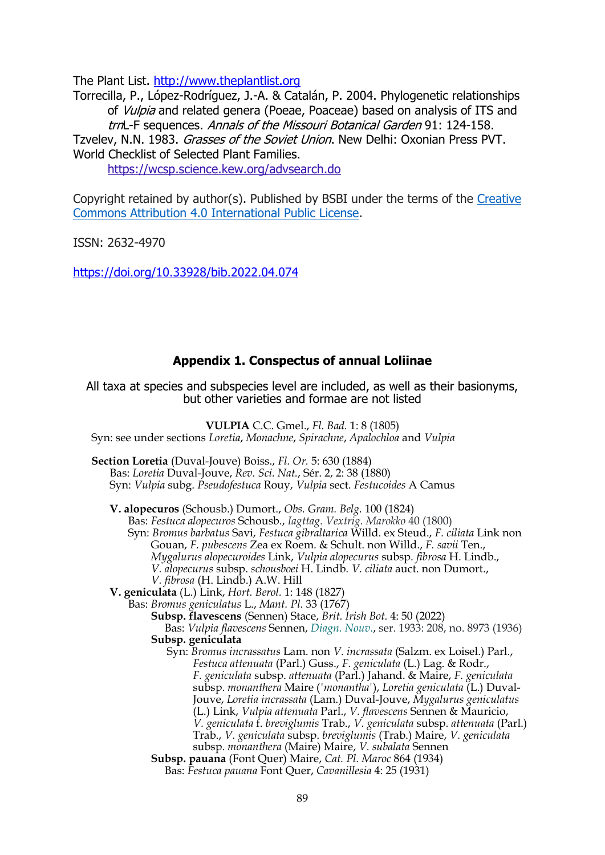The Plant List. [http://www.theplantlist.org](http://www.theplantlist.org/)

Torrecilla, P., López-Rodríguez, J.-A. & Catalán, P. 2004. Phylogenetic relationships of *Vulpia* and related genera (Poeae, Poaceae) based on analysis of ITS and trnL-F sequences. Annals of the Missouri Botanical Garden 91: 124-158. Tzvelev, N.N. 1983. Grasses of the Soviet Union. New Delhi: Oxonian Press PVT. World Checklist of Selected Plant Families.

[https://wcsp.science.kew.org/a](https://wcsp.science.kew.org/)dvsearch.do

Copyright retained by author(s). Published by BSBI under the terms of the [Creative](https://creativecommons.org/licenses/by/4.0/legalcode)  [Commons Attribution 4.0 International Public License.](https://creativecommons.org/licenses/by/4.0/legalcode)

ISSN: 2632-4970

<https://doi.org/10.33928/bib.2022.04.074>

# **Appendix 1. Conspectus of annual Loliinae**

All taxa at species and subspecies level are included, as well as their basionyms, but other varieties and formae are not listed

**VULPIA** C.C. Gmel., *Fl. Bad.* 1: 8 (1805) Syn: see under sections *Loretia*, *Monachne*, *Spirachne*, *Apalochloa* and *Vulpia*

- **Section Loretia** (Duval-Jouve) Boiss., *Fl. Or.* 5: 630 (1884) Bas: *Loretia* Duval-Jouve, *Rev. Sci. Nat.*, Sér. 2, 2: 38 (1880) Syn: *Vulpia* subg. *Pseudofestuca* Rouy, *Vulpia* sect. *Festucoides* A Camus
	- **V. alopecuros** (Schousb.) Dumort., *Obs. Gram. Belg.* 100 (1824)

Bas: *Festuca alopecuros* Schousb., *Iagttag. Vextrig. Marokko* 40 (1800) Syn: *Bromus barbatus* Savi, *Festuca gibraltarica* Willd. ex Steud., *F. ciliata* Link non Gouan, *F. pubescens* Zea ex Roem. & Schult. non Willd., *F. savii* Ten., *Mygalurus alopecuroides* Link, *Vulpia alopecurus* subsp. *fibrosa* H. Lindb., *V. alopecurus* subsp. *schousboei* H. Lindb. *V. ciliata* auct. non Dumort.,

- *V. fibrosa* (H. Lindb.) A.W. Hill
- **V. geniculata** (L.) Link, *Hort. Berol.* 1: 148 (1827)
	- Bas: *Bromus geniculatus* L., *Mant. Pl.* 33 (1767)
		- **Subsp. flavescens** (Sennen) Stace, *Brit. Irish Bot.* 4: 50 (2022) Bas: *Vulpia flavescens* Sennen, *[Diagn. Nouv.](https://www.ipni.org/p/1173-2)*, ser. 1933: 208, no. 8973 (1936) **Subsp. geniculata**
			- Syn: *Bromus incrassatus* Lam. non *V. incrassata* (Salzm. ex Loisel.) Parl., *Festuca attenuata* (Parl.) Guss., *F. geniculata* (L.) Lag. & Rodr., *F. geniculata* subsp. *attenuata* (Parl.) Jahand. & Maire, *F. geniculata*  subsp. *monanthera* Maire (*'monantha'*), *Loretia geniculata* (L.) Duval-Jouve, *Loretia incrassata* (Lam.) Duval-Jouve, *Mygalurus geniculatus* (L.) Link, *Vulpia attenuata* Parl., *V. flavescens* Sennen & Mauricio, *V. geniculata* f. *breviglumis* Trab., *V. geniculata* subsp. *attenuata* (Parl.) Trab., *V. geniculata* subsp. *breviglumis* (Trab.) Maire, *V. geniculata* subsp. *monanthera* (Maire) Maire, *V. subalata* Sennen
		- **Subsp. pauana** (Font Quer) Maire, *Cat. Pl. Maroc* 864 (1934) Bas: *Festuca pauana* Font Quer, *Cavanillesia* 4: 25 (1931)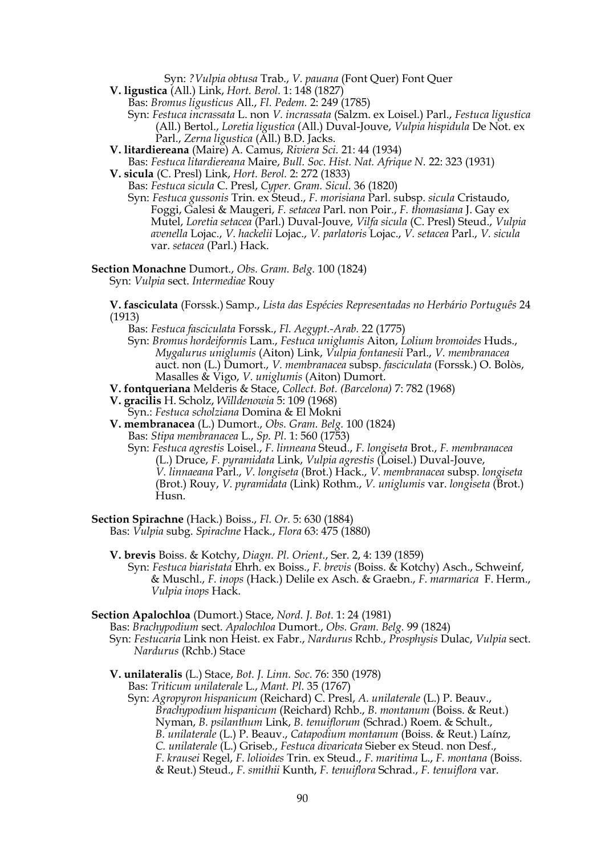Syn: *?Vulpia obtusa* Trab., *V. pauana* (Font Quer) Font Quer

- **V. ligustica** (All.) Link, *Hort. Berol.* 1: 148 (1827)
	- Bas: *Bromus ligusticus* All., *Fl. Pedem.* 2: 249 (1785)
	- Syn: *Festuca incrassata* L. non *V. incrassata* (Salzm. ex Loisel.) Parl., *Festuca ligustica* (All.) Bertol., *Loretia ligustica* (All.) Duval-Jouve, *Vulpia hispidula* De Not. ex Parl., *Zerna ligustica* (All.) B.D. Jacks.
- **V. litardiereana** (Maire) A. Camus, *Riviera Sci.* 21: 44 (1934)
- Bas: *Festuca litardiereana* Maire, *Bull. Soc. Hist. Nat. Afrique N.* 22: 323 (1931) **V. sicula** (C. Presl) Link, *Hort. Berol.* 2: 272 (1833)
	- Bas: *Festuca sicula* C. Presl, *Cyper. Gram. Sicul.* 36 (1820)
		- Syn: *Festuca gussonis* Trin. ex Steud., *F. morisiana* Parl. subsp. *sicula* Cristaudo, Foggi, Galesi & Maugeri, *F. setacea* Parl. non Poir., *F. thomasiana* J. Gay ex Mutel, *Loretia setacea* (Parl.) Duval-Jouve, *Vilfa sicula* (C. Presl) Steud., *Vulpia avenella* Lojac., *V. hackelii* Lojac., *V. parlatoris* Lojac., *V. setacea* Parl., *V. sicula* var. *setacea* (Parl.) Hack.

**Section Monachne** Dumort., *Obs. Gram. Belg.* 100 (1824)

- Syn: *Vulpia* sect. *Intermediae* Rouy
- **V. fasciculata** (Forssk.) Samp., *Lista das Espécies Representadas no Herbário Português* 24 (1913)
	- Bas: *Festuca fasciculata* Forssk., *Fl. Aegypt.-Arab.* 22 (1775)
	- Syn: *Bromus hordeiformis* Lam., *Festuca uniglumis* Aiton, *Lolium bromoides* Huds., *Mygalurus uniglumis* (Aiton) Link, *Vulpia fontanesii* Parl., *V. membranacea* auct. non (L.) Dumort., *V. membranacea* subsp. *fasciculata* (Forssk.) O. Bolòs, Masalles & Vigo, *V. uniglumis* (Aiton) Dumort.
- **V. fontqueriana** Melderis & Stace, *Collect. Bot. (Barcelona)* 7: 782 (1968)
- **V. gracilis** H. Scholz, *Willdenowia* 5: 109 (1968)
- Syn.: *Festuca scholziana* Domina & El Mokni
- **V. membranacea** (L.) Dumort., *Obs. Gram. Belg.* 100 (1824)
	- Bas: *Stipa membranacea* L., *Sp. Pl.* 1: 560 (1753)
		- Syn: *Festuca agrestis* Loisel., *F. linneana* Steud., *F. longiseta* Brot., *F. membranacea* (L.) Druce, *F. pyramidata* Link, *Vulpia agrestis* (Loisel.) Duval-Jouve, *V. linnaeana* Parl., *V. longiseta* (Brot.) Hack., *V. membranacea* subsp. *longiseta* (Brot.) Rouy, *V. pyramidata* (Link) Rothm., *V. uniglumis* var. *longiseta* (Brot.) Husn.
- **Section Spirachne** (Hack.) Boiss., *Fl. Or.* 5: 630 (1884)

Bas: *Vulpia* subg. *Spirachne* Hack., *Flora* 63: 475 (1880)

- **V. brevis** Boiss. & Kotchy, *Diagn. Pl. Orient.*, Ser. 2, 4: 139 (1859)
	- Syn: *Festuca biaristata* Ehrh. ex Boiss., *F. brevis* (Boiss. & Kotchy) Asch., Schweinf, & Muschl., *F. inops* (Hack.) Delile ex Asch. & Graebn., *F. marmarica* F. Herm., *Vulpia inops* Hack.
- **Section Apalochloa** (Dumort.) Stace, *Nord. J. Bot.* 1: 24 (1981)
	- Bas: *Brachypodium* sect. *Apalochloa* Dumort., *Obs. Gram. Belg.* 99 (1824) Syn: *Festucaria* Link non Heist. ex Fabr., *Nardurus* Rchb., *Prosphysis* Dulac, *Vulpia* sect. *Nardurus* (Rchb.) Stace
	- **V. unilateralis** (L.) Stace, *Bot. J. Linn. Soc.* 76: 350 (1978) Bas: *Triticum unilaterale* L., *Mant. Pl.* 35 (1767)
		- Syn: *Agropyron hispanicum* (Reichard) C. Presl, *A. unilaterale* (L.) P. Beauv., *Brachypodium hispanicum* (Reichard) Rchb., *B. montanum* (Boiss. & [Reut.\)](https://www.ipni.org/a/8313-1) Nyman, *B. psilanthum* Link, *B. tenuiflorum* (Schrad.) Roem. & Schult., *B. unilaterale* (L.) P. Beauv., *Catapodium montanum* (Boiss. & [Reut.\)](https://www.ipni.org/a/8313-1) Laínz, *C. unilaterale* (L.) Griseb., *Festuca divaricata* Sieber ex Steud. non Desf., *F. krausei* Regel, *F. lolioides* Trin. ex Steud., *F. maritima* L., *F. montana* (Boiss. & Reut.) Steud., *F. smithii* Kunth, *F. tenuiflora* Schrad., *F. tenuiflora* var.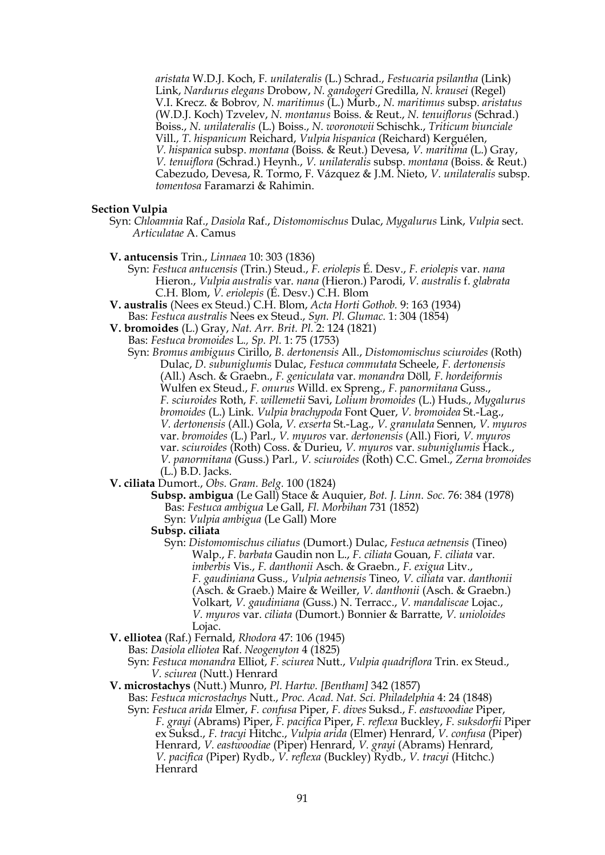*aristata* W.D.J. Koch, F*. unilateralis* (L.) Schrad., *Festucaria psilantha* (Link) Link, *Nardurus elegans* Drobow, *N. gandogeri* Gredilla, *N. krausei* (Regel) V.I. Krecz. & Bobrov*, N. maritimus* (L.) Murb., *N. maritimus* subsp. *aristatus* (W.D.J. Koch) Tzvelev, *N. montanus* Boiss. & Reut., *N. tenuiflorus* (Schrad.) Boiss., *N. unilateralis* (L.) Boiss., *N. woronowii* Schischk., *Triticum biunciale* Vill., *T. hispanicum* Reichard, *Vulpia hispanica* (Reichard) Kerguélen, *V. hispanica* subsp. *montana* (Boiss. [& Reut.\)](https://www.ipni.org/a/8313-1) Devesa, *V. maritima* (L.) Gray, *V. tenuiflora* (Schrad.) Heynh., *V. unilateralis* subsp. *montana* (Boiss. & [Reut.\)](https://www.ipni.org/a/8313-1) [Cabezudo,](https://www.ipni.org/a/16792-1) [Devesa,](https://www.ipni.org/a/14666-1) R. Tormo, F. Vázquez & [J.M. Nieto,](https://www.ipni.org/a/20009765-1) *V. unilateralis* subsp. *tomentosa* Faramarzi & Rahimin.

#### **Section Vulpia**

- Syn: *Chloamnia* Raf., *Dasiola* Raf., *Distomomischus* Dulac, *Mygalurus* Link, *Vulpia* sect. *Articulatae* A. Camus
- **V. antucensis** Trin., *Linnaea* 10: 303 (1836)
	- Syn: *Festuca antucensis* (Trin.) Steud., *F. eriolepis* É. Desv., *F. eriolepis* var. *nana*  Hieron., *Vulpia australis* var. *nana* (Hieron.) Parodi, *V. australis* f. *glabrata* C.H. Blom, *V. eriolepis* (É. Desv.) C.H. Blom
- **V. australis** (Nees ex Steud.) C.H. Blom, *Acta Horti Gothob.* 9: 163 (1934) Bas: *Festuca australis* Nees ex Steud., *Syn. Pl. Glumac.* 1: 304 (1854)
- **V. bromoides** (L.) Gray, *Nat. Arr. Brit. Pl.* 2: 124 (1821)

Bas: *Festuca bromoides* L*., Sp. Pl.* 1: 75 (1753)

- Syn: *Bromus ambiguus* Cirillo, *B. dertonensis* All., *Distomomischus sciuroides* (Roth) Dulac, *D. subuniglumis* Dulac, *Festuca commutata* Scheele, *F. dertonensis*  (All.) Asch. & Graebn., *F. geniculata* var. *monandra* Döll*, F. hordeiformis*  Wulfen ex Steud., *F. onurus* Willd. ex Spreng., *F. panormitana* Guss., *F. sciuroides* Roth, *F. willemetii* Savi, *Lolium bromoides* (L.) Huds., *Mygalurus bromoides* (L.) Link. *Vulpia brachypoda* Font Quer, *V. bromoidea* St.-Lag., *V. dertonensis* (All.) Gola, *V. exserta* St.-Lag., *V. granulata* Sennen, *V. myuros* var. *bromoides* (L.) Parl., *V. myuros* var. *dertonensis* (All.) Fiori, *V. myuros* var. *sciuroides* (Roth) Coss. & Durieu, *V. myuros* var. *subuniglumis* Hack., *V. panormitana* (Guss.) Parl., *V. sciuroides* (Roth) C.C. Gmel., *Zerna bromoides* (L.) B.D. Jacks.
- **V. ciliata** Dumort., *Obs. Gram. Belg.* 100 (1824)
	- **Subsp. ambigua** (Le Gall) Stace & Auquier, *Bot. J. Linn. Soc.* 76: 384 (1978) Bas: *Festuca ambigua* Le Gall, *Fl. Morbihan* 731 (1852) Syn: *Vulpia ambigua* (Le Gall) More
		-
	- **Subsp. ciliata**
		- Syn: *Distomomischus ciliatus* (Dumort.) Dulac, *Festuca aetnensis* (Tineo) Walp., *F. barbata* Gaudin non L., *F. ciliata* Gouan, *F. ciliata* var. *imberbis* Vis., *F. danthonii* Asch. & Graebn., *F. exigua* Litv., *F. gaudiniana* Guss., *Vulpia aetnensis* Tineo, *V. ciliata* var. *danthonii* (Asch. & Graeb.) Maire & Weiller, *V. danthonii* (Asch. & Graebn.) Volkart, *V. gaudiniana* (Guss.) N. Terracc., *V. mandaliscae* Lojac., *V. myuros* var. *ciliata* (Dumort.) Bonnier & Barratte, *V. unioloides* Lojac.
- **V. elliotea** (Raf.) Fernald, *Rhodora* 47: 106 (1945)

Bas: *Dasiola elliotea* Raf. *Neogenyton* 4 (1825)

- Syn: *Festuca monandra* Elliot, *F. sciurea* Nutt., *Vulpia quadriflora* Trin. ex Steud., *V. sciurea* (Nutt.) Henrard
- **V. microstachys** (Nutt.) Munro, *Pl. Hartw. [Bentham]* 342 (1857)
	- Bas: *Festuca microstachys* Nutt., *Proc. Acad. Nat. Sci. Philadelphia* 4: 24 (1848) Syn: *Festuca arida* Elmer, *F. confusa* Piper, *F. dives* Suksd., *F. eastwoodiae* Piper, *F. grayi* (Abrams) Piper, *F. pacifica* Piper, *F. reflexa* Buckley, *F. suksdorfii* Piper ex Suksd., *F. tracyi* Hitchc., *Vulpia arida* (Elmer) Henrard, *V. confusa* (Piper) Henrard, *V. eastwoodiae* (Piper) Henrard, *V. grayi* (Abrams) Henrard, *V. pacifica* (Piper) Rydb., *V. reflexa* (Buckley) Rydb., *V. tracyi* (Hitchc.) Henrard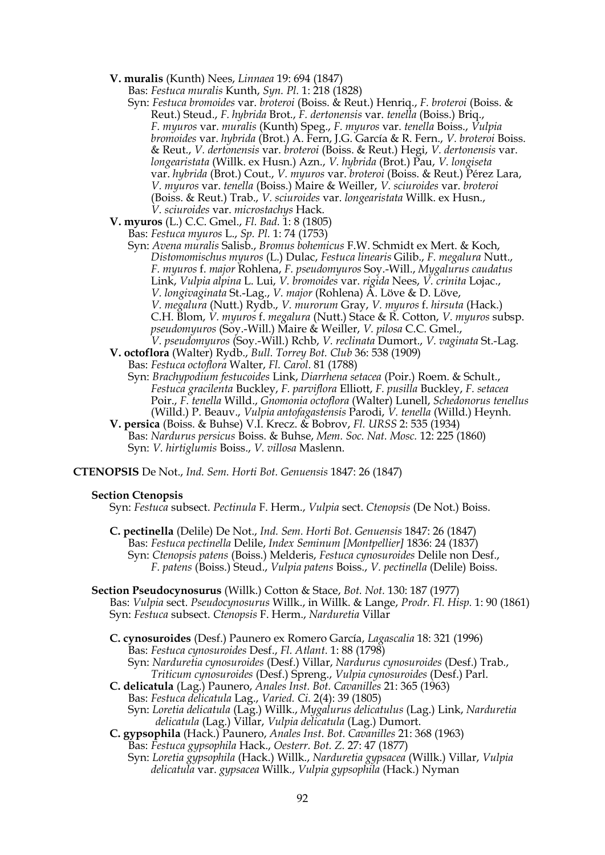**V. muralis** (Kunth) Nees, *Linnaea* 19: 694 (1847)

Bas: *Festuca muralis* Kunth, *Syn. Pl.* 1: 218 (1828)

- Syn: *Festuca bromoides* var. *broteroi* (Boiss. & Reut.) Henriq., *F. broteroi* (Boiss. & Reut.) Steud., *F. hybrida* Brot., *F. dertonensis* var. *tenella* (Boiss.) Briq., *F. myuros* var. *muralis* (Kunth) Speg., *F. myuros* var. *tenella* Boiss., *Vulpia bromoides* var. *hybrida* (Brot.) A. Fern, J.G. García & R. Fern., *V. broteroi* Boiss. & Reut., *V. dertonensis* var. *broteroi* (Boiss. & Reut.) Hegi, *V. dertonensis* var. *longearistata* (Willk. ex Husn.) Azn., *V. hybrida* (Brot.) Pau, *V. longiseta* var. *hybrida* (Brot.) Cout., *V. myuros* var. *broteroi* (Boiss. & Reut.) Pérez Lara, *V. myuros* var. *tenella* (Boiss.) Maire & Weiller, *V. sciuroides* var. *broteroi* (Boiss. & Reut.) Trab., *V. sciuroides* var. *longearistata* Willk. ex Husn., *V. sciuroides* var. *microstachys* Hack.
- **V. myuros** (L.) C.C. Gmel., *Fl. Bad.* 1: 8 (1805)
	- Bas: *Festuca myuros* L., *Sp. Pl.* 1: 74 (1753)
		- Syn: *Avena muralis* Salisb., *Bromus bohemicus* F.W. Schmidt ex Mert. & Koch, *Distomomischus myuros* (L.) Dulac, *Festuca linearis* Gilib., *F. megalura* Nutt., *F. myuros* f. *major* [Rohle](https://www.ipni.org/a/12781-1)na, *F. pseudomyuros* Soy.-Will., *Mygalurus caudatus* Link, *Vulpia alpina* L. Lui, *V. bromoides* var. *rigida* Nees, *V. crinita* Lojac., *V. longivaginata* St.-Lag., *V. major* [\(Rohlena\)](https://www.ipni.org/a/12781-1) [Á. Löve](https://www.ipni.org/a/22560-1) & [D. Löve,](https://www.ipni.org/a/12662-1) *V. megalura* (Nutt.) Rydb., *V. murorum* Gray, *V. myuros* f. *hirsuta* (Hack.) C.H. Blom, *V. myuros* f. *megalura* (Nutt.) Stace & R. Cotton, *V. myuros* subsp. *pseudomyuros* (Soy.-Will.) Maire & Weiller, *V. pilosa* C.C. Gmel., *V. pseudomyuros* (Soy.-Will.) Rchb, *V. reclinata* Dumort., *V. vaginata* St.-Lag.
- **V. octoflora** (Walter) Rydb., *Bull. Torrey Bot. Club* 36: 538 (1909)
	- Bas: *Festuca octoflora* Walter, *Fl. Carol.* 81 (1788)
		- Syn: *Brachypodium festucoides* Link, *Diarrhena setacea* (Poir.) Roem. & Schult., *Festuca gracilenta* Buckley, *F. parviflora* Elliott, *F. pusilla* Buckley, *F. setacea* Poir., *F. tenella* Willd., *Gnomonia octoflora* (Walter) Lunell, *Schedonorus tenellus*  (Willd.) P. Beauv., *Vulpia antofagastensis* Parodi, *V. tenella* (Willd.) Heynh.
- **V. persica** (Boiss. & Buhse) V.I. Krecz. & Bobrov, *Fl. URSS* 2: 535 (1934) Bas: *Nardurus persicus* Boiss. & Buhse, *Mem. Soc. Nat. Mosc.* 12: 225 (1860) Syn: *V. hirtiglumis* Boiss., *V. villosa* Maslenn.

**CTENOPSIS** De Not., *Ind. Sem. Horti Bot. Genuensis* 1847: 26 (1847)

#### **Section Ctenopsis**

Syn: *Festuca* subsect. *Pectinula* F. Herm., *Vulpia* sect. *Ctenopsis* (De Not.) Boiss.

**C. pectinella** (Delile) De Not., *Ind. Sem. Horti Bot. Genuensis* 1847: 26 (1847) Bas: *Festuca pectinella* Delile, *Index Seminum [Montpellier]* 1836: 24 (1837) Syn: *Ctenopsis patens* (Boiss.) Melderis, *Festuca cynosuroides* Delile non Desf., *F. patens* (Boiss.) Steud., *Vulpia patens* Boiss., *V. pectinella* (Delile) Boiss.

- **Section Pseudocynosurus** (Willk.) Cotton & Stace, *Bot. Not.* 130: 187 (1977) Bas: *Vulpia* sect. *Pseudocynosurus* Willk., in Willk. & Lange, *Prodr. Fl. Hisp.* 1: 90 (1861) Syn: *Festuca* subsect. *Ctenopsis* F. Herm., *Narduretia* Villar
	- **C. cynosuroides** (Desf.) Paunero ex Romero García, *Lagascalia* 18: 321 (1996) Bas: *Festuca cynosuroides* Desf., *Fl. Atlant.* 1: 88 (1798) Syn: *Narduretia cynosuroides* (Desf.) Villar, *Nardurus cynosuroides* (Desf.) Trab., *Triticum cynosuroides* (Desf.) Spreng., *Vulpia cynosuroides* (Desf.) Parl.
	- **C. delicatula** (Lag.) Paunero, *Anales Inst. Bot. Cavanilles* 21: 365 (1963) Bas: *Festuca delicatula* Lag., *Varied. Ci.* 2(4): 39 (1805) Syn: *Loretia delicatula* (Lag.) Willk., *Mygalurus delicatulus* (Lag.) Link, *Narduretia delicatula* (Lag.) Villar, *Vulpia delicatula* (Lag.) Dumort.
	- **C. gypsophila** (Hack.) Paunero, *[Anales Inst. Bot. Cavanilles](https://www.ipni.org/p/3783-2)* 21: 368 (1963) Bas: *Festuca gypsophila* Hack., *Oesterr. Bot. Z.* 27: 47 (1877)
		- Syn: *Loretia gypsophila* (Hack.) Willk., *Narduretia gypsacea* (Willk.) Villar, *Vulpia delicatula* var. *gypsacea* Willk., *Vulpia gypsophila* (Hack.) Nyman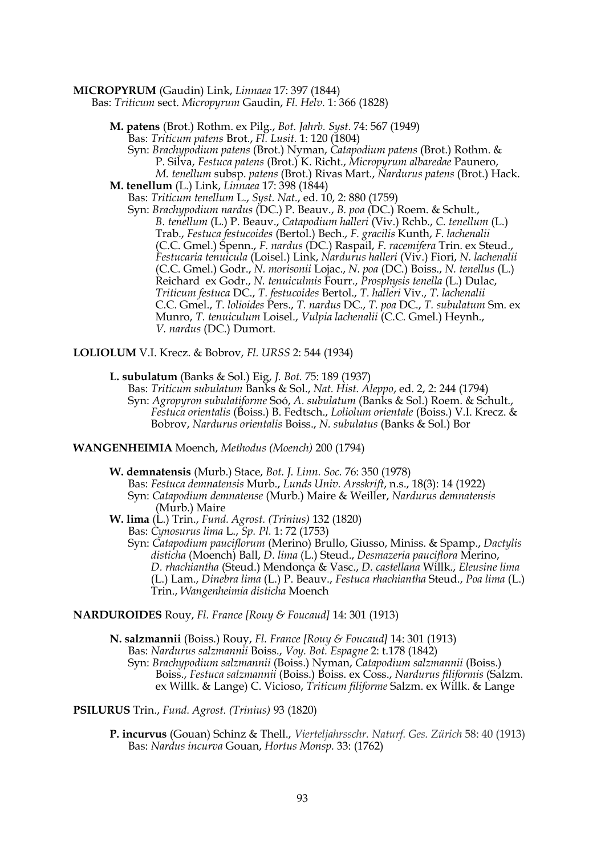#### **MICROPYRUM** (Gaudin) Link, *Linnaea* 17: 397 (1844)

Bas: *Triticum* sect. *Micropyrum* Gaudin, *Fl. Helv.* 1: 366 (1828)

- **M. patens** (Brot.) Rothm. ex Pilg., *Bot. Jahrb. Syst.* 74: 567 (1949) Bas: *Triticum patens* Brot., *Fl. Lusit.* 1: 120 (1804)
- Syn: *Brachypodium patens* (Brot.) Nyman, *Catapodium patens* (Brot.) Rothm. & P. Silva, *Festuca patens* (Brot.) K. Richt., *Micropyrum albaredae* Paunero, *M. tenellum* subsp. *patens* (Brot.) Rivas Mart., *Nardurus patens* (Brot.) Hack. **M. tenellum** (L.) Link, *Linnaea* 17: 398 (1844)
- Bas: *Triticum tenellum* L., *Syst. Nat.*, ed. 10, 2: 880 (1759)
	- Syn: *Brachypodium nardus* (DC.) P. Beauv., *B. poa* (DC.) Roem. & Schult., *B. tenellum* (L.) P. Beauv., *Catapodium halleri* (Viv.) Rchb., *C. tenellum* (L.) Trab., *Festuca festucoides* (Bertol.) Bech., *F. gracilis* Kunth, *F. lachenalii* (C.C. Gmel.) Spenn., *F. nardus* (DC.) Raspail, *F. racemifera* Trin. ex Steud., *Festucaria tenuicula* (Loisel.) Link, *Nardurus halleri* (Viv.) Fiori, *N. lachenalii* (C.C. Gmel.) Godr., *N. morisonii* Lojac., *N. poa* (DC.) Boiss., *N. tenellus* (L.) Reichard ex Godr., *N. tenuiculmis* Fourr., *Prosphysis tenella* (L.) Dulac, *Triticum festuca* DC., *T. festucoides* Bertol., *T. halleri* Viv., *T. lachenalii* C.C. Gmel., *T. lolioides* Pers., *T. nardus* DC., *T. poa* DC., *T. subulatum* Sm. ex Munro, *T. tenuiculum* Loisel., *Vulpia lachenalii* (C.C. Gmel.) Heynh., *V. nardus* (DC.) Dumort.
- **LOLIOLUM** V.I. Krecz. & Bobrov, *Fl. URSS* 2: 544 (1934)
	- **L. subulatum** (Banks & Sol.) Eig, *J. Bot.* 75: 189 (1937)
		- Bas: *Triticum subulatum* Banks & Sol., *Nat. Hist. Aleppo*, ed. 2, 2: 244 (1794) Syn: *Agropyron subulatiforme* Soó, *A. subulatum* (Banks & Sol.) Roem. & Schult., *Festuca orientalis* (Boiss.) B. Fedtsch., *Loliolum orientale* (Boiss.) V.I. Krecz. & Bobrov, *Nardurus orientalis* Boiss., *N. subulatus* (Banks & Sol.) Bor

#### **WANGENHEIMIA** Moench, *Methodus (Moench)* 200 (1794)

- **W. demnatensis** (Murb.) Stace, *Bot. J. Linn. Soc.* 76: 350 (1978)
	- Bas: *Festuca demnatensis* Murb., *Lunds Univ. Arsskrift*, n.s., 18(3): 14 (1922) Syn: *Catapodium demnatense* (Murb.) Maire & Weiller, *Nardurus demnatensis* (Murb.) Maire
- **W. lima** (L.) Trin., *Fund. Agrost. (Trinius)* 132 (1820)
	- Bas: *Cynosurus lima* L., *Sp. Pl.* 1: 72 (1753)
	- Syn: *Catapodium pauciflorum* (Merino) Brullo, Giusso, Miniss. & Spamp., *Dactylis disticha* (Moench) Ball, *D. lima* (L.) Steud., *Desmazeria pauciflora* Merino, *D. rhachiantha* (Steud.) Mendonça & Vasc., *D. castellana* Willk., *Eleusine lima*  (L.) Lam., *Dinebra lima* (L.) P. Beauv., *Festuca rhachiantha* Steud., *Poa lima* (L.) Trin., *Wangenheimia disticha* Moench

#### **NARDUROIDES** Rouy, *Fl. France [Rouy & Foucaud]* 14: 301 (1913)

**N. salzmannii** (Boiss.) Rouy, *Fl. France [Rouy & Foucaud]* 14: 301 (1913) Bas: *Nardurus salzmannii* Boiss., *Voy. Bot. Espagne* 2: t.178 (1842) Syn: *Brachypodium salzmannii* (Boiss.) Nyman, *Catapodium salzmannii* (Boiss.) Boiss., *Festuca salzmannii* (Boiss.) Boiss. ex Coss., *Nardurus filiformis* (Salzm. ex Willk. & Lange) C. Vicioso, *Triticum filiforme* Salzm. ex Willk. & Lange

**PSILURUS** Trin., *Fund. Agrost. (Trinius)* 93 (1820)

**P. incurvus** (Gouan) Schinz & Thell., *Vierteljahrsschr. Naturf. Ges. Zürich* 58: 40 (1913) Bas: *Nardus incurva* Gouan, *Hortus Monsp.* 33: (1762)